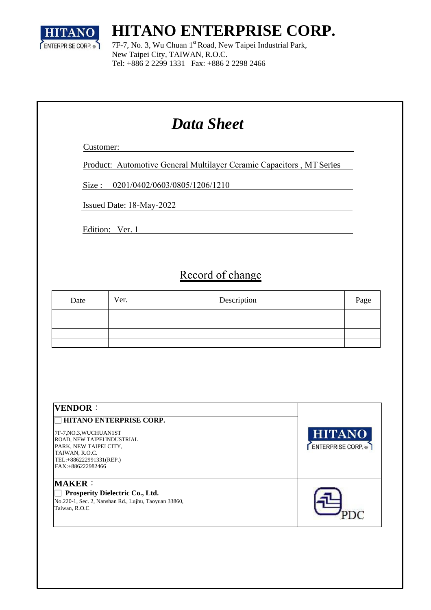

# **HITANO ENTERPRISE CORP.**

7F-7, No. 3, Wu Chuan 1<sup>st</sup> Road, New Taipei Industrial Park, New Taipei City, TAIWAN, R.O.C. Tel: +886 2 2299 1331 Fax: +886 2 2298 2466

# *Data Sheet*

Customer:

Product: Automotive General Multilayer Ceramic Capacitors , MT Series

Size: 0201/0402/0603/0805/1206/1210

Issued Date: 18-May-2022

Edition: Ver. 1

#### Record of change

| Date | Ver. | Description | Page |
|------|------|-------------|------|
|      |      |             |      |
|      |      |             |      |
|      |      |             |      |
|      |      |             |      |

| <b>VENDOR:</b>                                                                                                                                                                      |                                   |
|-------------------------------------------------------------------------------------------------------------------------------------------------------------------------------------|-----------------------------------|
| <b>HITANO ENTERPRISE CORP.</b><br>7F-7, NO.3, WUCHUANIST<br>ROAD, NEW TAIPEI INDUSTRIAL<br>PARK, NEW TAIPEI CITY,<br>TAIWAN, R.O.C.<br>TEL:+886222991331(REP.)<br>FAX:+886222982466 | <b>HITANO</b><br>ENTERPRISE CORP. |
| <b>MAKER:</b><br>Prosperity Dielectric Co., Ltd.<br>No.220-1, Sec. 2, Nanshan Rd., Lujhu, Taoyuan 33860,<br>Taiwan, R.O.C                                                           |                                   |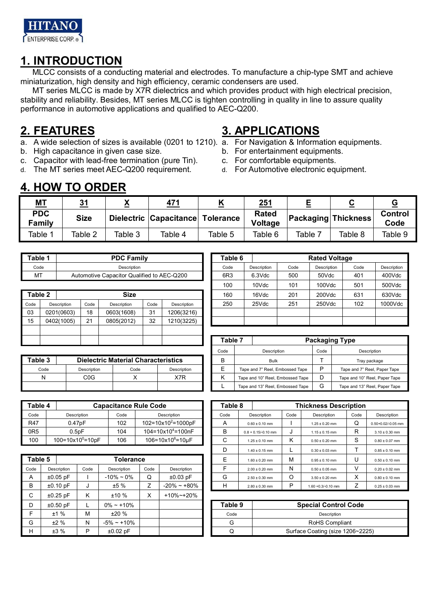

#### **1. INTRODUCTION**

MLCC consists of a conducting material and electrodes. To manufacture a chip-type SMT and achieve miniaturization, high density and high efficiency, ceramic condensers are used.

MT series MLCC is made by X7R dielectrics and which provides product with high electrical precision, stability and reliability. Besides, MT series MLCC is tighten controlling in quality in line to assure quality performance in automotive applications and qualified to AEC-Q200.

#### **2. FEATURES**

- a. A wide selection of sizes is available (0201 to 1210). a. For Navigation & Information equipments.
- b. High capacitance in given case size.
- c. Capacitor with lead-free termination (pure Tin).
- d. The MT series meet AEC-Q200 requirement.

#### **3. APPLICATIONS**

- 
- b. For entertainment equipments.
- c. For comfortable equipments.
- d. For Automotive electronic equipment.

#### **4. HOW TO ORDER**

| <b>MT</b>                   | 31          | v<br>≏  | 471                    |           | 251                     | $\sim$                     | $\overline{\phantom{a}}$ |                 |
|-----------------------------|-------------|---------|------------------------|-----------|-------------------------|----------------------------|--------------------------|-----------------|
| <b>PDC</b><br><b>Family</b> | <b>Size</b> |         | Dielectric Capacitance | Tolerance | <b>Rated</b><br>Voltage | <b>Packaging Thickness</b> |                          | Control<br>Code |
| Table 1                     | Table 2     | Table 3 | Table 4                | Table 5   | Table 6                 | Table 7                    | Table 8                  | Table 9         |

| Table 1 | <b>PDC Family</b>                          | Table 6         |             |      | <b>Rated Voltage</b> |  |
|---------|--------------------------------------------|-----------------|-------------|------|----------------------|--|
| Code    | Description                                | Code            | Description | Code | Description          |  |
| MT      | Automotive Capacitor Qualified to AEC-Q200 | 6R <sub>3</sub> | $6.3$ Vdc   | 500  | 50Vdc                |  |

| Table 2 |             |      | <b>Size</b> |      |             |
|---------|-------------|------|-------------|------|-------------|
| Code    | Description | Code | Description | Code | Description |
| 03      | 0201(0603)  | 18   | 0603(1608)  | 31   | 1206(3216)  |
| 15      | 0402(1005)  | 21   | 0805(2012)  | 32   | 1210(3225)  |
|         |             |      |             |      |             |
|         |             |      |             |      |             |

| Table 3 |             | <b>Dielectric Material Characteristics</b> |             | В | <b>Bulk</b>                      |   | Tray package           |
|---------|-------------|--------------------------------------------|-------------|---|----------------------------------|---|------------------------|
| Code    | Description | Code                                       | Description |   | Tape and 7" Reel, Embossed Tape  |   | Tape and 7" Reel, Pap  |
| N       | C0G         |                                            | X7R         |   | Tape and 10" Reel. Embossed Tape |   | Tape and 10" Reel, Pap |
|         |             |                                            |             |   | Tape and 13" Reel, Embossed Tape | G | Tape and 13" Reel, Par |

| Table 4         |                                 |      | <b>Capacitance Rule Code</b>        | Table 8 |                       |      | <b>Thickness Description</b> |      |
|-----------------|---------------------------------|------|-------------------------------------|---------|-----------------------|------|------------------------------|------|
| Code            | Description                     | Code | Description                         | Code    | Description           | Code | Description                  | Code |
| <b>R47</b>      | 0.47 <sub>D</sub> F             | 102  | $102 = 10 \times 10^2 = 1000$       |         | $0.60 \pm 0.10$ mm    |      | $1.25 \pm 0.20$ mm           | w    |
| 0R <sub>5</sub> | $0.5$ p $F$                     | 104  | $104 = 10 \times 10^4 = 100nF$      |         | $0.8 + 0.15/-0.10$ mm | ັບ   | $1.15 \pm 0.15$ mm           | R    |
| 100             | $100 = 10 \times 10^{0} = 10pF$ | 106  | $106 = 10 \times 10^{6} = 10 \mu F$ |         | $1.25 \pm 0.10$ mm    |      | $0.50 \pm 0.20$ mm           |      |

| Table 5 |             |      | Tolerance         |      |                 | E       | $1.60 \pm 0.20$ mm | M | $0.95 \pm 0.10$ mm               | U |  |
|---------|-------------|------|-------------------|------|-----------------|---------|--------------------|---|----------------------------------|---|--|
| Code    | Description | Code | Description       | Code | Description     |         | $2.00 \pm 0.20$ mm | N | $0.50 \pm 0.05$ mm               | v |  |
| A       | $±0.05$ pF  |      | $-10\% \sim 0\%$  | Q    | $±0.03$ pF      | G       | $2.50 \pm 0.30$ mm | O | $3.50 \pm 0.20$ mm               | X |  |
| B       | $±0.10$ pF  |      | ±5%               |      | $-20\% - 180\%$ | н       | $2.80 \pm 0.30$ mm | P | $1.60 + 0.3/-0.10$ mm            |   |  |
| C       | $±0.25$ pF  | Κ    | ±10%              | X    | +10%~+20%       |         |                    |   |                                  |   |  |
| D       | $±0.50$ pF  |      | $0\% - +10\%$     |      |                 | Table 9 |                    |   | <b>Special Control Code</b>      |   |  |
|         | ±1%         | М    | ±20%              |      |                 | Code    |                    |   | Description                      |   |  |
| G       | ±2%         | Ν    | $-5\% \sim +10\%$ |      |                 | G       |                    |   | <b>RoHS Compliant</b>            |   |  |
| н       | ±3%         | P    | $±0.02$ pF        |      |                 | Q       |                    |   | Surface Coating (size 1206~2225) |   |  |
|         |             |      |                   |      |                 |         |                    |   |                                  |   |  |

| Table 1 |             |      | <b>PDC Family</b>                          |      |             | Table 6         |             |      | <b>Rated Voltage</b> |      |             |
|---------|-------------|------|--------------------------------------------|------|-------------|-----------------|-------------|------|----------------------|------|-------------|
| Code    |             |      | Description                                |      |             | Code            | Description | Code | Description          | Code | Description |
| MT      |             |      | Automotive Capacitor Qualified to AEC-Q200 |      |             | 6R <sub>3</sub> | $6.3$ Vdc   | 500  | 50Vdc                | 401  | 400Vdc      |
|         |             |      |                                            |      |             | 100             | 10Vdc       | 101  | 100Vdc               | 501  | 500Vdc      |
| Table 2 |             |      | <b>Size</b>                                |      |             | 160             | 16Vdc       | 201  | 200Vdc               | 631  | 630Vdc      |
| Code    | Description | Code | <b>Description</b>                         | Code | Description | 250             | 25Vdc       | 251  | 250Vdc               | 102  | 1000Vdc     |
| 03      | 0201(0603)  | 18   | 0603(1608)                                 | 31   | 1206(3216)  |                 |             |      |                      |      |             |
| 15      | 0402(1005)  | 21   | 0805(2012)                                 | 32   | 1210(3225)  |                 |             |      |                      |      |             |

|      |                  |                                            |             |  | Table 7 |             |                                  |      | <b>Packaging Type</b>         |
|------|------------------|--------------------------------------------|-------------|--|---------|-------------|----------------------------------|------|-------------------------------|
|      |                  |                                            |             |  | Code    | Description |                                  | Code | Description                   |
| le 3 |                  | <b>Dielectric Material Characteristics</b> |             |  |         |             | <b>Bulk</b>                      |      | Tray package                  |
| Code | Description      | Code                                       | Description |  |         |             | Tape and 7" Reel, Embossed Tape  | רו   | Tape and 7" Reel, Paper Tape  |
| N    | C <sub>0</sub> G |                                            | X7R         |  |         |             | Tape and 10" Reel, Embossed Tape | D    | Tape and 10" Reel, Paper Tape |
|      |                  |                                            |             |  |         |             | Tape and 13" Reel, Embossed Tape | G    | Tape and 13" Reel, Paper Tape |

| Table 4     |      |                                             |                                 |                 |                                                                                                                                                      |      |                       |         |                    |      |                              |
|-------------|------|---------------------------------------------|---------------------------------|-----------------|------------------------------------------------------------------------------------------------------------------------------------------------------|------|-----------------------|---------|--------------------|------|------------------------------|
|             |      | Code                                        |                                 |                 |                                                                                                                                                      | Code | Description           | Code    | Description        | Code | Description                  |
|             |      | 102                                         |                                 |                 |                                                                                                                                                      | A    | $0.60 \pm 0.10$ mm    |         | $1.25 \pm 0.20$ mm | Q    | 0.50+0.02/-0.05 mm           |
|             |      | 104                                         |                                 |                 |                                                                                                                                                      | B    | $0.8 + 0.15/-0.10$ mm | J       | $1.15 \pm 0.15$ mm | R    | $3.10 \pm 0.30$ mm           |
|             |      | 106                                         |                                 |                 |                                                                                                                                                      | C    | $1.25 \pm 0.10$ mm    | Κ       | $0.50 \pm 0.20$ mm | S    | $0.80 \pm 0.07$ mm           |
|             |      |                                             |                                 |                 |                                                                                                                                                      | D    | $1.40 \pm 0.15$ mm    |         | $0.30 \pm 0.03$ mm |      | $0.85 \pm 0.10$ mm           |
| Table 5     |      |                                             |                                 |                 |                                                                                                                                                      | Ε    | $1.60 \pm 0.20$ mm    | M       | $0.95 \pm 0.10$ mm | U    | $0.50 \pm 0.10$ mm           |
| Description | Code | Description                                 | Code                            | Description     |                                                                                                                                                      |      | $2.00 \pm 0.20$ mm    | N       | $0.50 \pm 0.05$ mm | ٧    | $0.20 \pm 0.02$ mm           |
| $±0.05$ pF  |      | $-10\% - 0\%$                               | Q                               | $±0.03$ pF      |                                                                                                                                                      | G    | $2.50 \pm 0.30$ mm    | O       | $3.50 \pm 0.20$ mm | X    | $0.80 \pm 0.10$ mm           |
| $±0.10$ pF  |      | ±5%                                         | Z                               | $-20\% - 180\%$ |                                                                                                                                                      | н    | $2.80 \pm 0.30$ mm    | P       | 1.60 +0.3/-0.10 mm | Z    | $0.25 \pm 0.03$ mm           |
|             |      | Description<br>0.47pF<br>0.5 <sub>D</sub> F | $100 = 10 \times 10^{0} = 10pF$ | Tolerance       | <b>Capacitance Rule Code</b><br>Description<br>$102 = 10 \times 10^2 = 1000pF$<br>104=10x10 <sup>4</sup> =100nF<br>$106 = 10 \times 10^6 = 10 \mu F$ |      |                       | Table 8 |                    |      | <b>Thickness Description</b> |

| Table 9 | <b>Special Control Code</b>      |
|---------|----------------------------------|
| Code    | Description                      |
|         | <b>RoHS Compliant</b>            |
|         | Surface Coating (size 1206~2225) |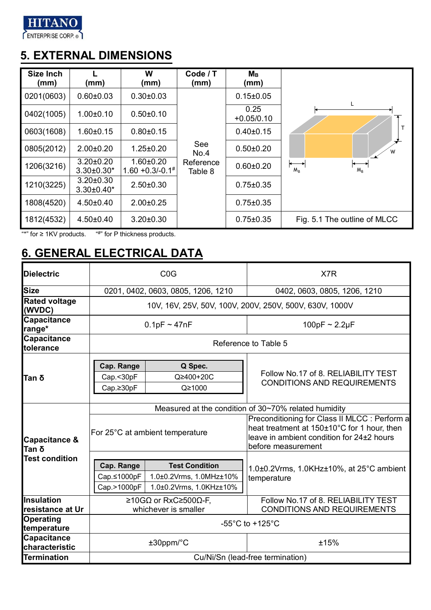

## **5. EXTERNAL DIMENSIONS**

| Size Inch<br>(mm) | (mm)                                 | W<br>(mm)                                       | Code / T<br>(mm)     | $M_{\rm B}$<br>(mm)  |                              |
|-------------------|--------------------------------------|-------------------------------------------------|----------------------|----------------------|------------------------------|
| 0201(0603)        | $0.60 \pm 0.03$                      | $0.30 \pm 0.03$                                 |                      | $0.15 \pm 0.05$      |                              |
| 0402(1005)        | $1.00 \pm 0.10$                      | $0.50 + 0.10$                                   |                      | 0.25<br>$+0.05/0.10$ |                              |
| 0603(1608)        | $1.60 \pm 0.15$                      | $0.80 \pm 0.15$                                 |                      | $0.40 \pm 0.15$      |                              |
| 0805(2012)        | $2.00 \pm 0.20$                      | $1.25 \pm 0.20$                                 | See<br>No.4          | $0.50 + 0.20$        | W                            |
| 1206(3216)        | $3.20 \pm 0.20$<br>$3.30 \pm 0.30^*$ | $1.60 + 0.20$<br>$1.60 + 0.3/-0.1$ <sup>#</sup> | Reference<br>Table 8 | $0.60 \pm 0.20$      | $M_R$<br>$M_{R}$             |
| 1210(3225)        | $3.20 \pm 0.30$<br>$3.30\pm0.40*$    | $2.50 \pm 0.30$                                 |                      | $0.75 \pm 0.35$      |                              |
| 1808(4520)        | $4.50 \pm 0.40$                      | $2.00 \pm 0.25$                                 |                      | $0.75 \pm 0.35$      |                              |
| 1812(4532)        | $4.50 \pm 0.40$                      | $3.20 \pm 0.30$                                 |                      | $0.75 \pm 0.35$      | Fig. 5.1 The outline of MLCC |

"\*" for  $\geq$  1KV products.  $^{\cdots +^{\cdots}}$  for P thickness products.

## **6. GENERAL ELECTRICAL DATA**

| <b>Dielectric</b>                     |                                          | C <sub>0</sub> G                                                            | X7R                                                                                                                                                             |
|---------------------------------------|------------------------------------------|-----------------------------------------------------------------------------|-----------------------------------------------------------------------------------------------------------------------------------------------------------------|
| <b>Size</b>                           |                                          | 0201, 0402, 0603, 0805, 1206, 1210                                          | 0402, 0603, 0805, 1206, 1210                                                                                                                                    |
| <b>Rated voltage</b><br>(WVDC)        |                                          |                                                                             | 10V, 16V, 25V, 50V, 100V, 200V, 250V, 500V, 630V, 1000V                                                                                                         |
| <b>Capacitance</b><br>range*          |                                          | $0.1pF \sim 47nF$                                                           | 100pF $\sim$ 2.2µF                                                                                                                                              |
| <b>Capacitance</b><br>tolerance       |                                          |                                                                             | Reference to Table 5                                                                                                                                            |
| Tan δ                                 | Cap. Range<br>Cap.<30pF<br>Cap.≥30pF     | Q Spec.<br>Q≥400+20C<br>Q≥1000                                              | Follow No.17 of 8. RELIABILITY TEST<br><b>CONDITIONS AND REQUIREMENTS</b>                                                                                       |
|                                       |                                          |                                                                             | Measured at the condition of 30~70% related humidity                                                                                                            |
| <b>Capacitance &amp;</b><br>Tan δ     |                                          | For 25°C at ambient temperature                                             | Preconditioning for Class II MLCC : Perform a<br>heat treatment at 150±10°C for 1 hour, then<br>leave in ambient condition for 24±2 hours<br>before measurement |
| <b>Test condition</b>                 | Cap. Range<br>Cap.≤1000pF<br>Cap.>1000pF | <b>Test Condition</b><br>1.0±0.2Vrms, 1.0MHz±10%<br>1.0±0.2Vrms, 1.0KHz±10% | 1.0±0.2Vrms, 1.0KHz±10%, at 25°C ambient<br>temperature                                                                                                         |
| <b>Insulation</b><br>resistance at Ur |                                          | ≥10GΩ or RxC≥500Ω-F,<br>whichever is smaller                                | Follow No.17 of 8. RELIABILITY TEST<br><b>CONDITIONS AND REQUIREMENTS</b>                                                                                       |
| Operating<br>temperature              |                                          |                                                                             | -55 $^{\circ}$ C to +125 $^{\circ}$ C                                                                                                                           |
| <b>Capacitance</b><br>characteristic  |                                          | $±30$ ppm/ $°C$                                                             | ±15%                                                                                                                                                            |
| <b>Termination</b>                    |                                          |                                                                             | Cu/Ni/Sn (lead-free termination)                                                                                                                                |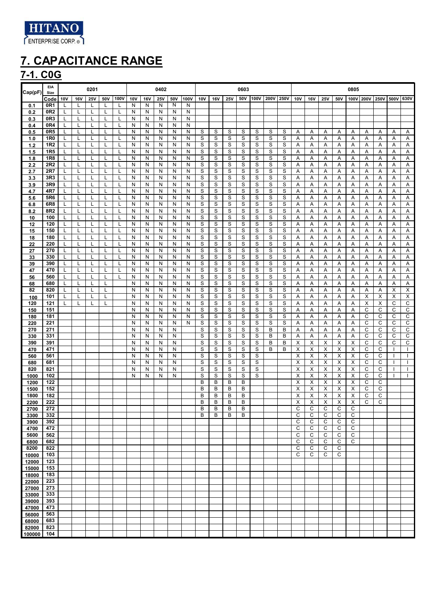

### **7-1. C0G**

| Cap(pF)        | EIA<br>Size                        |        |            | 0201       |        |      |        |        | 0402       |        |        |        |                  |        | 0603   |        |        |             |        |            |            |                   | 0805         |        |                     |        |                              |
|----------------|------------------------------------|--------|------------|------------|--------|------|--------|--------|------------|--------|--------|--------|------------------|--------|--------|--------|--------|-------------|--------|------------|------------|-------------------|--------------|--------|---------------------|--------|------------------------------|
|                | Code                               | 10V    | <b>16V</b> | <b>25V</b> | 50V    | 100V | 10V    | 16V    | <b>25V</b> | 50V    | 100V   | 10V    | <b>16V</b>       | 25V    | 50V    | 100V   | 200V   | <b>250V</b> | 10V    | <b>16V</b> | <b>25V</b> | 50V               |              |        | 100V 200V 250V 500V |        | 630V                         |
| 0.1            | 0R <sub>1</sub><br>0R <sub>2</sub> | L<br>L | L<br>L     | L<br>L     | L<br>L | L    | N<br>N | N<br>N | N<br>N     | N<br>Ν | N<br>N |        |                  |        |        |        |        |             |        |            |            |                   |              |        |                     |        |                              |
| 0.2<br>0.3     | 0R3                                | L      | L          | L          | Г      |      | N      | N      | N          | Ν      | N      |        |                  |        |        |        |        |             |        |            |            |                   |              |        |                     |        |                              |
| 0.4            | 0R4                                |        |            |            |        |      | N      | N      | N          | Ν      | N      |        |                  |        |        |        |        |             |        |            |            |                   |              |        |                     |        |                              |
| 0.5<br>1.0     | 0R5<br>1R0                         | L      | L          | L          | L      |      | Ν<br>N | N<br>N | N<br>N     | N<br>Ν | N<br>N | S<br>S | S<br>S           | S<br>S | S<br>S | S<br>S | S<br>S | S<br>S      | Α<br>Α | Α<br>Α     | Α<br>Α     | Α<br>Α            | Α<br>Α       | Α<br>Α | Α<br>Α              | Α<br>Α | Α<br>Α                       |
| $1.2$          | 1R <sub>2</sub>                    |        |            |            | L      |      | Ν      | N      | N          | Ν      | N      | S      | S                | S      | S      | S      | S      | S           | Α      | Α          | Α          | Α                 | Α            | Α      | Α                   | Α      | Α                            |
| 1.5            | 1R5                                | L      |            | L          | L      |      | N      | N      | N          | Ν      | N      | S      | S                | S      | S      | S      | S      | S           | Α      | Α          | Α          | Α                 | Α            | Α      | Α                   | Α      | Α                            |
| 1.8<br>2.2     | 1R8<br>2R2                         | L<br>L | L<br>L     | L<br>L     | L<br>L |      | Ν<br>N | N<br>N | N<br>N     | Ν<br>Ν | N<br>N | S<br>S | S<br>S           | S<br>S | S<br>S | S<br>S | S<br>S | S<br>S      | Α<br>Α | Α<br>Α     | Α<br>Α     | Α<br>Α            | Α<br>Α       | Α<br>Α | Α<br>Α              | Α<br>Α | Α<br>Α                       |
| 2.7            | 2R7                                | L      | L          | L          | L      |      | Ν      | N      | N          | N      | N      | S      | S                | S      | S      | S      | S      | S           | Α      | Α          | Α          | Α                 | Α            | Α      | Α                   | Α      | $\overline{A}$               |
| 3.3            | 3R3                                | L      | L          | L          | Г      | L    | N      | N      | N          | N      | N      | S      | S                | S      | S      | S      | S      | S           | Α      | Α          | Α          | Α                 | Α            | Α      | Α                   | Α      | Α                            |
| 3.9<br>4.7     | 3R9<br>4R7                         | L<br>L | L<br>L     | L<br>L     | Г<br>Г | L    | N<br>N | N<br>N | N<br>N     | N<br>N | N<br>N | S<br>S | S<br>S           | S<br>S | S<br>S | S<br>S | S<br>S | S<br>S      | Α<br>Α | Α<br>Α     | Α<br>Α     | Α<br>Α            | Α<br>Α       | Α<br>Α | Α<br>Α              | Α<br>Α | Α<br>Α                       |
| 5.6            | 5R6                                | L      | L          | L          | L      | L    | Ν      | N      | N          | N      | N      | S      | S                | S      | S      | S      | S      | S           | Α      | Α          | Α          | Α                 | Α            | Α      | Α                   | Α      | Α                            |
| 6.8            | 6R8                                | L      | L          | L          | L      | L.   | N      | N      | N          | N      | N      | S      | S                | S      | S      | S      | S      | S           | Α      | Α          | Α          | Α                 | Α            | Α      | Α                   | Α      | Α                            |
| 8.2<br>10      | 8R2<br>100                         | L<br>L | L<br>L     | L<br>L     | Г<br>L | L    | Ν<br>Ν | N<br>N | N<br>N     | N<br>N | N<br>N | S<br>S | S<br>S           | S<br>S | S<br>S | S<br>S | S<br>S | S<br>S      | Α<br>Α | Α<br>Α     | Α<br>Α     | Α<br>Α            | Α<br>Α       | Α<br>Α | Α<br>Α              | Α<br>Α | Α<br>Α                       |
| 12             | 120                                | L      | L          |            | L      |      | N      | N      | N          | N      | N      | S      | S                | S      | S      | S      | S      | S           | Α      | Α          | Α          | Α                 | Α            | Α      | Α                   | Α      | Α                            |
| 15             | 150                                | L      | L          | L          | L      |      | N      | N      | N          | N      | N      | S      | S                | S      | S      | S      | S      | S           | Α      | Α          | Α          | Α                 | Α            | Α      | Α                   | Α      | Α                            |
| 18<br>22       | 180<br>220                         | L<br>L | L<br>L     | L<br>L     | L<br>L | L    | N<br>N | N<br>N | N<br>N     | N<br>N | N<br>N | S<br>S | S<br>S           | S<br>S | S<br>S | S<br>S | S<br>S | S<br>S      | Α<br>Α | Α<br>Α     | Α<br>Α     | Α<br>Α            | Α<br>Α       | Α<br>Α | Α<br>Α              | Α<br>Α | Α<br>А                       |
| 27             | 270                                | L      | L          | L          | L      | L    | N      | N      | N          | N      | N      | S      | S                | S      | S      | S      | S      | S           | Α      | Α          | А          | Α                 | Α            | Α      | Α                   | Α      | Α                            |
| 33             | 330                                | L      | L          | L          | L      |      | Ν      | N      | N          | N      | N      | S      | S                | S      | S      | S      | S      | S           | Α      | Α          | Α          | Α                 | Α            | Α      | Α                   | Α      | Α                            |
| 39<br>47       | 390<br>470                         | L<br>L | L<br>L     | L<br>L     | L<br>L |      | N<br>N | N<br>N | N<br>N     | N<br>N | N<br>N | S<br>S | S<br>S           | S<br>S | S<br>S | S<br>S | S<br>S | S<br>S      | Α<br>Α | Α<br>Α     | А<br>Α     | Α<br>Α            | А<br>Α       | Α<br>Α | Α<br>Α              | Α<br>Α | Α<br>Α                       |
| 56             | 560                                | L      | L          | L          | L      |      | N      | N      | N          | N      | N      | S      | S                | S      | S      | S      | S      | S           | Α      | Α          | Α          | Α                 | Α            | Α      | Α                   | Α      | Α                            |
| 68             | 680                                | L      | L          | L          | L      |      | N      | N      | N          | N      | N      | S      | S                | S      | S      | S      | S      | S           | Α      | Α          | Α          | Α                 | Α            | Α      | Α                   | Α      | Α                            |
| 82<br>100      | 820<br>101                         | L<br>L | L<br>L     | L<br>L     | L<br>L |      | N<br>N | N<br>N | N<br>N     | N<br>N | N<br>N | S<br>S | $\mathbb S$<br>S | S<br>S | S<br>S | S<br>S | S<br>S | S<br>S      | Α<br>Α | Α<br>Α     | Α<br>Α     | Α<br>Α            | Α<br>Α       | Α<br>X | Α<br>X              | X<br>Χ | Χ<br>$\overline{\mathsf{X}}$ |
| 120            | 121                                | L      | L          | L          | L      |      | N      | N      | N          | N      | N      | S      | S                | S      | S      | S      | S      | S           | Α      | Α          | Α          | Α                 | Α            | X      | X                   | C      | $\mathsf C$                  |
| 150            | 151                                |        |            |            |        |      | N      | Ν      | N          | N      | Ν      | S      | S                | S      | S      | S      | S      | S           | Α      | Α          | Α          | Α                 | А            | С      | С                   | С      | С                            |
| 180<br>220     | 181<br>221                         |        |            |            |        |      | N<br>N | N<br>N | N<br>N     | N<br>N | N<br>N | S<br>S | S<br>S           | S<br>S | S<br>S | S<br>S | S<br>S | S<br>S      | Α<br>Α | Α<br>Α     | Α<br>Α     | Α<br>Α            | Α<br>Α       | C<br>C | C<br>С              | С<br>С | С<br>C                       |
| 270            | 271                                |        |            |            |        |      | N      | N      | N          | N      |        | S      | S                | S      | S      | S      | B      | В           | Α      | Α          | Α          | Α                 | Α            | C      | C                   | С      | C                            |
| 330            | 331                                |        |            |            |        |      | Ν      | N      | N          | N      |        | S      | S                | S      | S      | S      | B      | B           | Α      | Α          | Α          | Α                 | А            | C      | C                   | С      | C                            |
| 390<br>470     | 391<br>471                         |        |            |            |        |      | N<br>N | N<br>N | N<br>N     | N<br>N |        | S<br>S | S<br>S           | S<br>S | S<br>S | S<br>S | B<br>В | B<br>В      | X<br>Χ | X<br>Χ     | X<br>X     | Х<br>Χ            | X<br>X       | C<br>C | C<br>C              | С      | С                            |
| 560            | 561                                |        |            |            |        |      | N      | N      | N          | N      |        | S      | S                | S      | S      | S      |        |             | X      | х          | X          | Х                 | X            | C      | C                   |        | J                            |
| 680            | 681<br>821                         |        |            |            |        |      | Ν      | N      | N          | N<br>N |        | S<br>S | S<br>S           | S<br>S | S<br>S | S<br>S |        |             | X      | X<br>X     | Х          | Х                 | X<br>X       | С<br>C | С<br>C              |        |                              |
| 820<br>1000    | 102                                |        |            |            |        |      | N<br>Ν | N<br>N | N<br>N     | N      |        | S      | S                | S      | S      | S      |        |             | Χ<br>X | X          | Х<br>X     | Х<br>X            | X            | C      | C                   |        | $\mathbf{I}$<br>$\mathbf{I}$ |
| 1200           | 122                                |        |            |            |        |      |        |        |            |        |        | В      | В                | B      | В      |        |        |             | х      | х          | X          | Х                 | X            | C      | С                   |        |                              |
| 1500<br>1800   | 152<br>182                         |        |            |            |        |      |        |        |            |        |        | B<br>B | B<br>B           | B<br>B | B<br>B |        |        |             | Χ<br>Χ | X<br>X     | X<br>X     | Х<br>X            | X<br>X       | C<br>C | C<br>C              |        |                              |
| 2200           | 222                                |        |            |            |        |      |        |        |            |        |        | B      | В                | В      | B      |        |        |             | X      | X          | Χ          | Χ                 | Χ            | C      | C                   |        |                              |
| 2700           | 272                                |        |            |            |        |      |        |        |            |        |        | В      | в                | в      | B      |        |        |             | С      | С          | С          | С                 | С            |        |                     |        |                              |
| 3300<br>3900   | 332<br>392                         |        |            |            |        |      |        |        |            |        |        | B      | B                | B      | B      |        |        |             | С<br>C | C<br>C     | С<br>С     | C<br>С            | C<br>С       |        |                     |        |                              |
| 4700           | 472                                |        |            |            |        |      |        |        |            |        |        |        |                  |        |        |        |        |             | C      | C          | С          | С                 | С            |        |                     |        |                              |
| 5600           | 562                                |        |            |            |        |      |        |        |            |        |        |        |                  |        |        |        |        |             | С      | С          | С          | С                 | С            |        |                     |        |                              |
| 6800<br>8200   | 682<br>822                         |        |            |            |        |      |        |        |            |        |        |        |                  |        |        |        |        |             | C<br>C | C<br>C     | C<br>С     | $\mathsf{C}$<br>C | $\mathsf{C}$ |        |                     |        |                              |
| 10000          | 103                                |        |            |            |        |      |        |        |            |        |        |        |                  |        |        |        |        |             | C      | C          | C          | C                 |              |        |                     |        |                              |
| 12000          | 123                                |        |            |            |        |      |        |        |            |        |        |        |                  |        |        |        |        |             |        |            |            |                   |              |        |                     |        |                              |
| 15000<br>18000 | 153<br>183                         |        |            |            |        |      |        |        |            |        |        |        |                  |        |        |        |        |             |        |            |            |                   |              |        |                     |        |                              |
| 22000          | 223                                |        |            |            |        |      |        |        |            |        |        |        |                  |        |        |        |        |             |        |            |            |                   |              |        |                     |        |                              |
| 27000          | 273                                |        |            |            |        |      |        |        |            |        |        |        |                  |        |        |        |        |             |        |            |            |                   |              |        |                     |        |                              |
| 33000<br>39000 | 333<br>393                         |        |            |            |        |      |        |        |            |        |        |        |                  |        |        |        |        |             |        |            |            |                   |              |        |                     |        |                              |
| 47000          | 473                                |        |            |            |        |      |        |        |            |        |        |        |                  |        |        |        |        |             |        |            |            |                   |              |        |                     |        |                              |
| 56000          | 563                                |        |            |            |        |      |        |        |            |        |        |        |                  |        |        |        |        |             |        |            |            |                   |              |        |                     |        |                              |
| 68000<br>82000 | 683<br>823                         |        |            |            |        |      |        |        |            |        |        |        |                  |        |        |        |        |             |        |            |            |                   |              |        |                     |        |                              |
| 100000         | 104                                |        |            |            |        |      |        |        |            |        |        |        |                  |        |        |        |        |             |        |            |            |                   |              |        |                     |        |                              |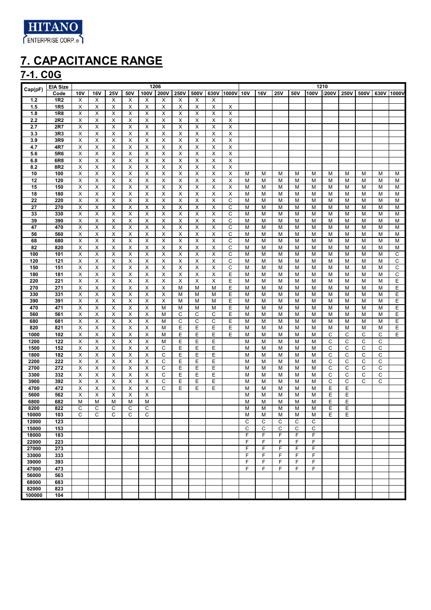

#### **7-1. C0G**

| Cap(pF)      | <b>EIA Size</b> |        |            |                |        | 1206                      |      |                         |                |      |              |        |            |        |        |        | 1210        |             |      |      |       |
|--------------|-----------------|--------|------------|----------------|--------|---------------------------|------|-------------------------|----------------|------|--------------|--------|------------|--------|--------|--------|-------------|-------------|------|------|-------|
|              | Code            | 10V    | <b>16V</b> | 25V            | 50V    | 100V                      | 200V | 250V                    | 500V           | 630V | 1000V        | 10V    | <b>16V</b> | 25V    | 50V    | 100V   | <b>200V</b> | <b>250V</b> | 500V | 630V | 1000V |
| 1.2          | <b>1R2</b>      | X      | X          | X              | X      | X                         | X    | X                       | X              | X    |              |        |            |        |        |        |             |             |      |      |       |
| 1.5          | 1R <sub>5</sub> | X      | Χ          | X              | X      | X                         | X    | $\pmb{\times}$          | X              | X    | X            |        |            |        |        |        |             |             |      |      |       |
| 1.8          | 1R8             | х      | X          | X              | X      | X                         | X    | X                       | X              | Х    | X            |        |            |        |        |        |             |             |      |      |       |
| 2.2          | 2R2             | X      | X          | X              | Х      | $\boldsymbol{\mathsf{X}}$ | X    | X                       | X              | X    | Χ            |        |            |        |        |        |             |             |      |      |       |
| 2.7          | 2R7             | X      | X          | X              | X      | X                         | X    | $\pmb{\times}$          | X              | Х    | X            |        |            |        |        |        |             |             |      |      |       |
| 3.3          | 3R3             | X      | X          | X              | X      | X                         | X    | X                       | X              | X    | X            |        |            |        |        |        |             |             |      |      |       |
| 3.9          | 3R9             | X      | X          | Х              | X      | X                         | X    | $\pmb{\times}$          | х              | X    | X            |        |            |        |        |        |             |             |      |      |       |
| 4.7          | 4R7             | X      | X          | $\pmb{\times}$ | X      | $\boldsymbol{\mathsf{X}}$ | X    | X                       | X              | X    | X            |        |            |        |        |        |             |             |      |      |       |
| 5.6          | 5R6             | X      | X          | $\pmb{\times}$ | X      | X                         | X    | $\pmb{\times}$          | X              | X    | X            |        |            |        |        |        |             |             |      |      |       |
| 6.8          | 6R8             | Χ      | X          | X              | X      | X                         | X    | X                       | X              | X    | X            |        |            |        |        |        |             |             |      |      |       |
| 8.2          | 8R2             | X      | X          | X              | X      | X                         | X    | X                       | X              | X    | X            |        |            |        |        |        |             |             |      |      |       |
| 10           | 100             | X      | X          | X              | X      | X                         | X    | X                       | X              | X    | X            | M      | M          | M      | м      | M      | M           | M           | M    | M    | M     |
| 12           | 120             | X      | X          | X              | Χ      | X                         | X    | X                       | X              | X    | X            | M      | М          | M      | М      | М      | М           | М           | М    | M    | М     |
| 15           | 150             | X      | Χ          | X              | X      | X                         | X    | $\pmb{\times}$          | X              | X    | X            | M      | М          | M      | М      | М      | М           | М           | M    | M    | M     |
| 18           | 180             | X      | X          | $\pmb{\times}$ | X      | $\overline{\mathsf{x}}$   | X    | $\overline{\mathsf{x}}$ | $\pmb{\times}$ | X    | X            | М      | М          | M      | М      | M      | M           | М           | M    | M    | M     |
| 22           | 220             | X      | X          | X              | X      | X                         | X    | $\overline{\mathsf{x}}$ | х              | X    | С            | M      | M          | M      | M      | M      | M           | М           | М    | M    | M     |
| 27           | 270             | X      | X          | X              | X      | $\boldsymbol{\mathsf{X}}$ | X    | X                       | X              | X    | C            | M      | M          | M      | M      | M      | M           | M           | M    | M    | M     |
| 33           | 330             | X      | Χ          | Х              | X      | Х                         | X    | $\pmb{\times}$          | X              | X    | C            | M      | M          | M      | м      | M      | M           | M           | М    | M    | M     |
| 39           | 390             | Χ      | Χ          | X              | X      | X                         | X    | X                       | X              | X    | C            | M      | М          | M      | M      | М      | M           | M           | M    | M    | M     |
| 47           | 470             | х      | X          | X              | X      | Х                         | х    | X                       | х              | х    | C            | M      | М          | M      | M      | M      | M           | M           | м    | M    | M     |
| 56           | 560             | X      | X          | $\pmb{\times}$ | X      | $\overline{\mathsf{x}}$   | X    | X                       | X              | X    | $\mathsf{C}$ | M      | M          | M      | М      | М      | M           | M           | M    | M    | M     |
| 68           | 680             | X      | X          | $\pmb{\times}$ | Χ      | $\boldsymbol{\mathsf{X}}$ | X    | $\pmb{\times}$          | X              | X    | C            | M      | M          | M      | M      | М      | M           | M           | М    | M    | M     |
| 82           | 820             | X      | X          | X              | X      | X                         | X    | X                       | X              | X    | C            | M      | M          | M      | M      | M      | М           | M           | M    | M    | M     |
| 100          | 101             | Χ      | Χ          | X              | Χ      | X                         | X    | X                       | X              | X    | C            | M      | М          | M      | М      | M      | М           | M           | M    | M    | С     |
| 120          | 121             | X      | Χ          | Χ              | Χ      | Χ                         | X    | X                       | X              | X    | C            | М      | M          | M      | М      | M      | М           | М           | M    | M    | C     |
| 150          | 151             | Χ      | X          | $\pmb{\times}$ | х      | $\boldsymbol{\mathsf{X}}$ | X    | X                       | X              | X    | C            | М      | М          | M      | М      | M      | М           | М           | M    | M    | C     |
| 180          | 181             | X      | X          | X              | Χ      | X                         | X    | Χ                       | X              | X    | Ε            | M      | M          | M      | М      | M      | M           | М           | М    | M    | C     |
| 220          | 221             | Χ      | X          | X              | Χ      | $\overline{X}$            | X    | X                       | X              | X    | Ε            | М      | М          | M      | М      | M      | M           | M           | M    | M    | Ε     |
| 270          | 271             | X      | X          | Х              | X      | X                         | X    | M                       | M              | M    | Ε            | M      | M          | M      | M      | М      | М           | M           | М    | M    | Ε     |
| 330          | 331             | X      | X          | X              | X      | X                         | X    | M                       | М              | M    | Ε            | M      | M          | M      | M      | M      | M           | M           | М    | M    | Ε     |
| 390          | 391             | X      | Χ          | X              | X      | Х                         | X    | M                       | М              | M    | Ε            | М      | М          | M      | M      | M      | M           | M           | M    | M    | Ε     |
| 470          | 471             | X      | X          | X              | X      | $\overline{\mathsf{x}}$   | M    | M                       | M              | M    | Ε            | M      | M          | M      | M      | M      | M           | M           | M    | M    | Ε     |
| 560          | 561             | X      | X          | $\pmb{\times}$ | X      | X                         | M    | C                       | C              | C    | Ε            | M      | M          | M      | M      | M      | M           | M           | М    | M    | Ε     |
| 680          | 681             | Χ      | X          | X              | Χ      | X                         | M    | C                       | C              | C    | E            | M      | М          | M      | М      | M      | М           | M           | M    | M    | E     |
| 820          | 821             | X      | Χ          | X              | Χ      | X                         | M    | Ε                       | Ε              | Ε    | Ε            | M      | M          | M      | M      | M      | M           | М           | М    | M    | E     |
| 1000         | 102             | X      | X          | X              | X      | X                         | M    | E                       | E              | E    | E            | M      | M          | M      | M      | M      | С           | С           | С    | C    | E     |
| 1200         | 122             | X      | X          | X              | Χ      | Χ                         | M    | E                       | Ε              | E    |              | M      | М          | M      | М      | М      | С           | C           | С    | C    |       |
| 1500         | 152             | X      | Χ          | X              | X      | X                         | С    | E                       | E              | E    |              | M      | М          | M      | М      | M      | C           | C           | С    | С    |       |
| 1800         | 182             | X      | X          | $\pmb{\times}$ | X      | $\overline{\mathsf{x}}$   | C    | Ε                       | E              | Е    |              | M      | M          | M      | М      | M      | С           | С           | С    | C    |       |
| 2200         | 222             | X      | X          | X              | X      | X                         | C    | E                       | E              | E    |              | M      | M          | M      | M      | M      | С           | С           | С    | C    |       |
| 2700         | 272             | X      | X          | X              | X      | X                         | C    | E                       | Ε              | Ε    |              | M      | M          | M      | M      | M      | С           | C           | C    | C    |       |
| 3300         | 332             | X      | X          | Х              | X      | Х                         | C    | Ε                       | Ε              | E    |              | M      | M          | M      | M      | M      | С           | С           | С    | С    |       |
| 3900         | 392             | X      | Χ          | X              | X      | X                         | С    | E                       | Ε              | Ε    |              | M      | М          | M      | M      | M      | С           | C           | C    | C    |       |
| 4700         | 472             | х<br>X | Χ<br>X     | X<br>X         | X<br>Χ | Х<br>X                    | С    | E                       | E              | E    |              | M      | М          | M      | M      | M<br>M | Е<br>E      | Е<br>E      |      |      |       |
| 5600<br>6800 | 562<br>682      | M      | M          | M              | M      | M                         |      |                         |                |      |              | M<br>M | M<br>M     | M<br>M | М<br>М | M      | E           | Ε           |      |      |       |
| 8200         | 822             | С      | С          | С              | C      | С                         |      |                         |                |      |              | М      | М          | М      | М      | М      | Е           | Ε           |      |      |       |
| 10000        | 103             | C      | C          | C              | C      | C                         |      |                         |                |      |              | M      | M          | M      | M      | M      | E           | E           |      |      |       |
| 12000        | 123             |        |            |                |        |                           |      |                         |                |      |              | C      | C          | C      | С      | C      |             |             |      |      |       |
| 15000        | 153             |        |            |                |        |                           |      |                         |                |      |              | C      | С          | C      | С      | C      |             |             |      |      |       |
| 18000        | 183             |        |            |                |        |                           |      |                         |                |      |              | F      | F          | F      | F      | F      |             |             |      |      |       |
| 22000        | 223             |        |            |                |        |                           |      |                         |                |      |              | F      | F          | F      | F      | F      |             |             |      |      |       |
| 27000        | 273             |        |            |                |        |                           |      |                         |                |      |              | F      | F          | F      | F      | F      |             |             |      |      |       |
| 33000        | 333             |        |            |                |        |                           |      |                         |                |      |              | F      | F          | F      | F      | F      |             |             |      |      |       |
| 39000        | 393             |        |            |                |        |                           |      |                         |                |      |              | F      | F          | F      | F      | F      |             |             |      |      |       |
| 47000        | 473             |        |            |                |        |                           |      |                         |                |      |              | F      | F          | F      | F      | F      |             |             |      |      |       |
| 56000        | 563             |        |            |                |        |                           |      |                         |                |      |              |        |            |        |        |        |             |             |      |      |       |
| 68000        | 683             |        |            |                |        |                           |      |                         |                |      |              |        |            |        |        |        |             |             |      |      |       |
| 82000        | 823             |        |            |                |        |                           |      |                         |                |      |              |        |            |        |        |        |             |             |      |      |       |
| 100000       | 104             |        |            |                |        |                           |      |                         |                |      |              |        |            |        |        |        |             |             |      |      |       |
|              |                 |        |            |                |        |                           |      |                         |                |      |              |        |            |        |        |        |             |             |      |      |       |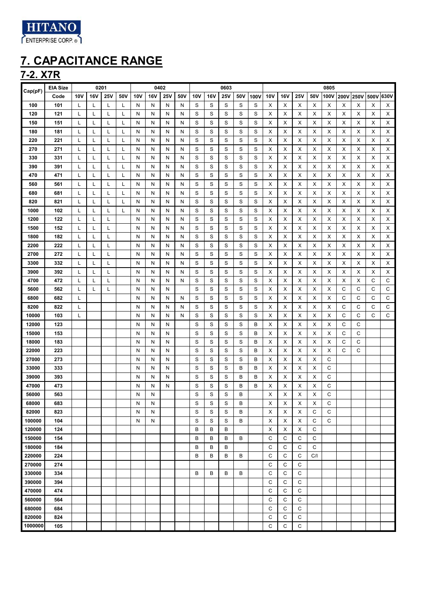

### **7-2. X7R**

| Cap(pF) | <b>EIA Size</b> |            | 0201       |     |     |     | 0402 |     |     |     |            | 0603 |     |      |            |     |            |     | 0805 |      |      |      |      |
|---------|-----------------|------------|------------|-----|-----|-----|------|-----|-----|-----|------------|------|-----|------|------------|-----|------------|-----|------|------|------|------|------|
|         | Code            | <b>10V</b> | <b>16V</b> | 25V | 50V | 10V | 16V  | 25V | 50V | 10V | <b>16V</b> | 25V  | 50V | 100V | <b>10V</b> | 16V | <b>25V</b> | 50V | 100V | 200V | 250V | 500V | 630V |
| 100     | 101             | L          | L          | L   | L   | N   | N    | N   | N   | S   | S          | S    | S   | S    | х          | х   | х          | Х   | х    | х    | Х    | Х    | X    |
| 120     | 121             | L          | L          | L   | Г   | N   | N    | N   | N   | S   | S          | S    | S   | S    | X          | Х   | Х          | Х   | х    | х    | х    | Х    | Х    |
| 150     | 151             | L          | L          | L   | Г   | N   | N    | N   | N   | S   | S          | S    | S   | S    | X          | х   | Х          | Х   | х    | х    | х    | Χ    | Χ    |
| 180     | 181             | L          | L          | L   | L   | N   | N    | N   | N   | S   | S          | S    | S   | S    | X          | Х   | Х          | Х   | х    | х    | х    | Χ    | Х    |
| 220     | 221             | L          | L          | L   | L   | N   | N    | N   | N   | S   | S          | S    | S   | S    | х          | Х   | Х          | Х   | х    | х    | х    | Х    | Х    |
| 270     | 271             | L          | L          | L   | L   | N   | N    | N   | N   | S   | S          | S    | S   | S    | X          | х   | Х          | Х   | х    | х    | х    | Χ    | Х    |
| 330     | 331             | L          | L          | L   | L   | N   | N    | N   | N   | S   | S          | S    | S   | S    | х          | х   | Х          | Х   | х    | х    | х    | Х    | Х    |
| 390     | 391             | L          | L          | L   | Г   | N   | N    | N   | N   | S   | S          | S    | S   | S    | х          | х   | х          | Х   | х    | х    | х    | х    | х    |
| 470     | 471             | L          | L          | L   | Г   | N   | N    | N   | N   | S   | S          | S    | S   | S    | х          | х   | х          | Х   | х    | х    | х    | х    | Х    |
| 560     | 561             | L          | L          | L   | Г   | N   | N    | N   | N   | S   | S          | S    | S   | S    | х          | х   | х          | Х   | х    | х    | х    | х    | х    |
| 680     | 681             | L          | L          | L   | Г   | N   | N    | N   | N   | S   | S          | S    | S   | S    | х          | х   | х          | Х   | х    | х    | х    | х    | х    |
| 820     | 821             | L          | L          | L   | L   | N   | N    | N   | N   | S   | S          | S    | S   | S    | х          | х   | х          | х   | х    | х    | х    | Х    | х    |
| 1000    | 102             | L          | L          | L   | L   | N   | N    | N   | N   | S   | S          | S    | S   | S    | х          | Х   | Х          | Х   | х    | Х    | х    | Χ    | Χ    |
| 1200    | 122             | L          | L          | L   |     | N   | N    | N   | Ν   | S   | S          | S    | S   | S    | х          | Х   | Х          | Х   | х    | х    | х    | Χ    | Х    |
| 1500    | 152             | L          | L          | L   |     | N   | N    | N   | Ν   | S   | S          | S    | S   | S    | X          | х   | Х          | Х   | х    | х    | х    | Х    | Х    |
| 1800    | 182             | L          | L          | L   |     | N   | N    | N   | Ν   | S   | S          | S    | S   | S    | х          | Х   | Х          | Х   | х    | х    | х    | Х    | Х    |
| 2200    | 222             | L          | L          | L   |     | N   | N    | N   | Ν   | S   | S          | S    | S   | S    | х          | х   | Х          | Х   | х    | х    | х    | Х    | Х    |
| 2700    | 272             | L          | L          | L   |     | N   | N    | N   | Ν   | S   | S          | S    | S   | S    | х          | х   | Х          | Х   | х    | х    | х    | Х    | Х    |
| 3300    | 332             | L          | L          | L   |     | N   | N    | N   | Ν   | S   | S          | S    | S   | S    | Х          | Х   | Х          | Х   | х    | х    | х    | Х    | X    |
| 3900    | 392             | L          | L          | L   |     | N   | N    | N   | N   | S   | S          | S    | S   | S    | х          | х   | Х          | Х   | х    | х    | х    | Χ    | Х    |
| 4700    | 472             | L          | L          | L   |     | N   | N    | N   | N   | S   | S          | S    | S   | S    | х          | х   | Х          | Х   | х    | х    | х    | C    | С    |
| 5600    | 562             | L          | L          | L   |     | N   | N    | N   |     | S   | S          | S    | S   | S    | х          | х   | Х          | Х   | х    | С    | С    | C    | C    |
| 6800    | 682             | L          |            |     |     | N   | N    | N   | N   | S   | S          | S    | S   | S    | х          | х   | х          | Х   | х    | С    | С    | C    | C    |
| 8200    | 822             | L          |            |     |     | N   | N    | N   | N   | S   | S          | S    | S   | S    | х          | х   | х          | Х   | х    | С    | С    | C    | C    |
| 10000   | 103             | L          |            |     |     | N   | N    | N   | N   | S   | S          | S    | S   | S    | х          | х   | х          | Х   | х    | С    | С    | C    | С    |
| 12000   | 123             |            |            |     |     | N   | N    | N   |     | S   | S          | S    | S   | В    | х          | х   | х          | Х   | х    | С    | С    |      |      |
| 15000   | 153             |            |            |     |     | N   | N    | N   |     | S   | S          | S    | S   | В    | х          | х   | х          | Х   | х    | С    | С    |      |      |
| 18000   | 183             |            |            |     |     | N   | N    | N   |     | S   | S          | S    | S   | В    | х          | х   | х          | Х   | х    | C    | С    |      |      |
| 22000   | 223             |            |            |     |     | N   | N    | N   |     | S   | S          | S    | S   | В    | х          | х   | х          | Х   | х    | C    | С    |      |      |
| 27000   | 273             |            |            |     |     | N   | N    | N   |     | S   | S          | S    | S   | В    | X          | Х   | Х          | X   | C    |      |      |      |      |
| 33000   | 333             |            |            |     |     | N   | N    | N   |     | S   | S          | S    | В   | В    | X          | х   | Х          | X   | C    |      |      |      |      |
| 39000   | 393             |            |            |     |     | N   | N    | N   |     | S   | S          | S    | В   | В    | X          | Х   | Х          | X   | C    |      |      |      |      |
| 47000   | 473             |            |            |     |     | N   | N    | N   |     | S   | S          | S    | В   | В    | X          | Χ   | Х          | Х   | C    |      |      |      |      |
| 56000   | 563             |            |            |     |     | N   | N    |     |     | S   | S          | S    | В   |      | х          | х   | х          | Х   | C    |      |      |      |      |
| 68000   | 683             |            |            |     |     | N   | N    |     |     | S   | S          | S    | В   |      | х          | х   | X          | X   | C    |      |      |      |      |
| 82000   | 823             |            |            |     |     | N   | N    |     |     | S   | S          | S    | B   |      | X          | Χ   | X          | C   | C    |      |      |      |      |
| 100000  | 104             |            |            |     |     | N   | N    |     |     | S   | S          | S    | В   |      | X          | х   | X          | C   | С    |      |      |      |      |
| 120000  | 124             |            |            |     |     |     |      |     |     | B   | В          | В    |     |      | X          | х   | х          | C   |      |      |      |      |      |
| 150000  | 154             |            |            |     |     |     |      |     |     | B   | в          | в    | B   |      | C          | C   | C          | C   |      |      |      |      |      |
| 180000  | 184             |            |            |     |     |     |      |     |     | B   | в          | в    |     |      | C          | C   | C          | C   |      |      |      |      |      |
| 220000  | 224             |            |            |     |     |     |      |     |     | B   | В          | В    | В   |      | C          | C   | C          | C/I |      |      |      |      |      |
| 270000  | 274             |            |            |     |     |     |      |     |     |     |            |      |     |      | C          | C   | C          |     |      |      |      |      |      |
| 330000  | 334             |            |            |     |     |     |      |     |     | B   | В          | В    | В   |      | C          | C   | C          |     |      |      |      |      |      |
| 390000  | 394             |            |            |     |     |     |      |     |     |     |            |      |     |      | C          | C   | C          |     |      |      |      |      |      |
| 470000  | 474             |            |            |     |     |     |      |     |     |     |            |      |     |      | C          | C   | C          |     |      |      |      |      |      |
| 560000  | 564             |            |            |     |     |     |      |     |     |     |            |      |     |      | C          | C   | C          |     |      |      |      |      |      |
| 680000  | 684             |            |            |     |     |     |      |     |     |     |            |      |     |      | C          | C   | C          |     |      |      |      |      |      |
| 820000  | 824             |            |            |     |     |     |      |     |     |     |            |      |     |      | C          | C   | C          |     |      |      |      |      |      |
| 1000000 | 105             |            |            |     |     |     |      |     |     |     |            |      |     |      | C          | C   | C          |     |      |      |      |      |      |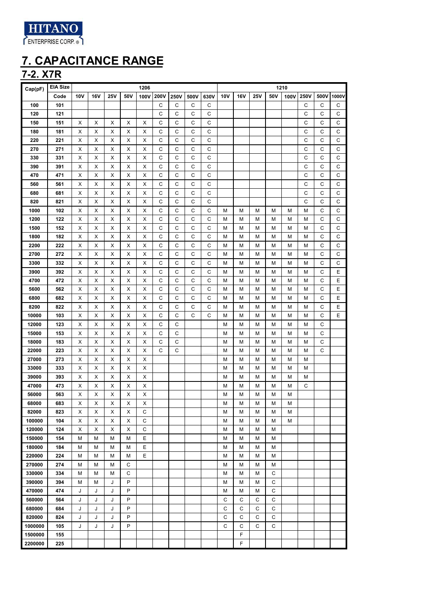

**7-2. X7R**

| Cap(pF) | <b>EIA Size</b> |     |            |     |     | 1206           |              |             |      |             |     |            |            |     | 1210 |             |             |              |
|---------|-----------------|-----|------------|-----|-----|----------------|--------------|-------------|------|-------------|-----|------------|------------|-----|------|-------------|-------------|--------------|
|         | Code            | 10V | <b>16V</b> | 25V | 50V | 100V           | 200V         | 250V        | 500V | 630V        | 10V | <b>16V</b> | <b>25V</b> | 50V | 100V | 250V        | 500V        | 1000V        |
| 100     | 101             |     |            |     |     |                | $\mathsf C$  | C           | C    | С           |     |            |            |     |      | C           | $\mathsf C$ | $\mathsf C$  |
| 120     | 121             |     |            |     |     |                | C            | C           | C    | С           |     |            |            |     |      | C           | С           | $\mathsf C$  |
| 150     | 151             | х   | х          | х   | х   | х              | С            | C           | C    | С           |     |            |            |     |      | C           | С           | $\mathsf C$  |
| 180     | 181             | X   | х          | х   | X   | X              | C            | C           | C    | С           |     |            |            |     |      | C           | C           | $\mathsf C$  |
| 220     | 221             | X   | х          | х   | X   | Χ              | $\mathsf C$  | C           | C    | С           |     |            |            |     |      | C           | C           | $\mathsf C$  |
| 270     | 271             | X   | х          | X   | X   | $\mathsf X$    | C            | С           | C    | $\mathsf C$ |     |            |            |     |      | $\mathsf C$ | С           | $\mathsf C$  |
| 330     | 331             | X   | х          | X   | X   | X              | С            | С           | C    | С           |     |            |            |     |      | C           | С           | $\mathsf C$  |
| 390     | 391             | х   | х          | х   | X   | X              | С            | С           | C    | С           |     |            |            |     |      | C           | С           | $\mathsf C$  |
| 470     | 471             | х   | х          | х   | X   | X              | C            | С           | C    | C           |     |            |            |     |      | $\mathsf C$ | С           | $\mathsf C$  |
| 560     | 561             | х   | х          | х   | X   | X              | C            | С           | C    | С           |     |            |            |     |      | C           | С           | $\mathsf C$  |
| 680     | 681             | х   | х          | х   | X   | X              | C            | С           | C    | С           |     |            |            |     |      | C           | С           | $\mathsf C$  |
| 820     | 821             | X   | х          | X   | X   | $\mathsf X$    | $\mathsf{C}$ | С           | C    | С           |     |            |            |     |      | C           | C           | $\mathsf C$  |
| 1000    | 102             | X   | х          | X   | X   | X              | $\mathsf{C}$ | C           | C    | С           | M   | М          | M          | M   | М    | M           | C           | $\mathsf{C}$ |
| 1200    | 122             | X   | X          | X   | X   | X              | $\mathsf{C}$ | C           | C    | С           | M   | М          | M          | M   | М    | M           | C           | $\mathsf C$  |
| 1500    | 152             | х   | х          | X   | X   | X              | C            | C           | C    | С           | M   | М          | M          | М   | М    | M           | С           | C            |
| 1800    | 182             | х   | х          | X   | X   | X              | С            | С           | C    | С           | M   | М          | M          | М   | М    | M           | С           | $\mathsf C$  |
| 2200    | 222             | Х   | х          | X   | X   | X              | C            | С           | C    | С           | M   | М          | M          | М   | М    | M           | С           | $\mathsf C$  |
| 2700    | 272             | х   | х          | X   | X   | X              | C            | C           | C    | С           | M   | М          | M          | М   | М    | M           | С           | C            |
| 3300    | 332             | X   | х          | X   | X   | X              | C            | C           | C    | С           | М   | М          | M          | М   | М    | M           | С           | $\mathsf C$  |
| 3900    | 392             | X   | х          | X   | X   | X              | C            | С           | C    | С           | M   | М          | М          | M   | М    | M           | С           | Ε            |
| 4700    | 472             | X   | х          | х   | X   | X              | $\mathsf{C}$ | С           | C    | С           | M   | М          | М          | M   | М    | M           | $\mathsf C$ | Ε            |
| 5600    | 562             | X   | X          | X   | X   | $\pmb{\times}$ | $\mathsf{C}$ | C           | C    | C           | M   | М          | М          | M   | М    | M           | C           | Ε            |
| 6800    | 682             | х   | х          | х   | х   | х              | С            | С           | С    | С           | M   | М          | М          | M   | М    | M           | С           | Ε            |
| 8200    | 822             | х   | х          | х   | х   | х              | С            | С           | С    | С           | M   | М          | М          | M   | М    | M           | С           | Е            |
| 10000   | 103             | х   | х          | х   | х   | X              | С            | С           | C    | С           | М   | М          | М          | M   | М    | M           | С           | E            |
| 12000   | 123             | Х   | х          | х   | X   | X              | С            | С           |      |             | М   | М          | М          | M   | М    | M           | C           |              |
| 15000   | 153             | Х   | х          | х   | х   | х              | C            | С           |      |             | M   | М          | М          | M   | М    | M           | С           |              |
| 18000   | 183             | X   | х          | X   | X   | X              | С            | С           |      |             | М   | М          | М          | M   | М    | М           | С           |              |
| 22000   | 223             | X   | х          | X   | X   | Χ              | C            | $\mathsf C$ |      |             | М   | М          | М          | М   | М    | М           | C           |              |
| 27000   | 273             | Х   | х          | X   | X   | X              |              |             |      |             | М   | М          | М          | М   | М    | M           |             |              |
| 33000   | 333             | х   | х          | X   | X   | X              |              |             |      |             | М   | М          | М          | М   | М    | M           |             |              |
| 39000   | 393             | х   | х          | X   | X   | X              |              |             |      |             | М   | М          | М          | М   | М    | М           |             |              |
| 47000   | 473             | X   | х          | X   | X   | X              |              |             |      |             | М   | М          | М          | М   | М    | C           |             |              |
| 56000   | 563             | X   | х          | X   | X   | X              |              |             |      |             | М   | М          | М          | М   | М    |             |             |              |
| 68000   | 683             | X   | X          | X   | X   | X              |              |             |      |             | M   | М          | М          | M   | М    |             |             |              |
| 82000   | 823             | Х   | х          | х   | х   | С              |              |             |      |             | M   | M          | М          | M   | М    |             |             |              |
| 100000  | 104             | х   | х          | х   | х   | С              |              |             |      |             | M   | М          | М          | M   | М    |             |             |              |
| 120000  | 124             | Х   | х          | х   | X   | C              |              |             |      |             | M   | M          | M          | M   |      |             |             |              |
| 150000  | 154             | M   | М          | M   | M   | Е              |              |             |      |             | М   | М          | М          | M   |      |             |             |              |
| 180000  | 184             | M   | М          | M   | M   | E              |              |             |      |             | M   | М          | М          | M   |      |             |             |              |
| 220000  | 224             | M   | М          | M   | М   | E              |              |             |      |             | M   | М          | М          | M   |      |             |             |              |
| 270000  | 274             | M   | М          | M   | C   |                |              |             |      |             | M   | М          | M          | M   |      |             |             |              |
| 330000  | 334             | M   | М          | М   | С   |                |              |             |      |             | M   | М          | М          | С   |      |             |             |              |
| 390000  | 394             | M   | М          | J   | P   |                |              |             |      |             | М   | М          | M          | C   |      |             |             |              |
| 470000  | 474             | J   | J          | J   | P   |                |              |             |      |             | M   | М          | M          | C   |      |             |             |              |
| 560000  | 564             | J   | J          | J   | P   |                |              |             |      |             | C   | С          | C          | C   |      |             |             |              |
| 680000  | 684             | J   | J          | J   | P   |                |              |             |      |             | C   | С          | C          | C   |      |             |             |              |
| 820000  | 824             | J   | J          | J   | P   |                |              |             |      |             | C   | C          | C          | С   |      |             |             |              |
| 1000000 | 105             | J   | J          | J   | P   |                |              |             |      |             | C   | C          | C          | C   |      |             |             |              |
| 1500000 | 155             |     |            |     |     |                |              |             |      |             |     | F          |            |     |      |             |             |              |
| 2200000 | 225             |     |            |     |     |                |              |             |      |             |     | F          |            |     |      |             |             |              |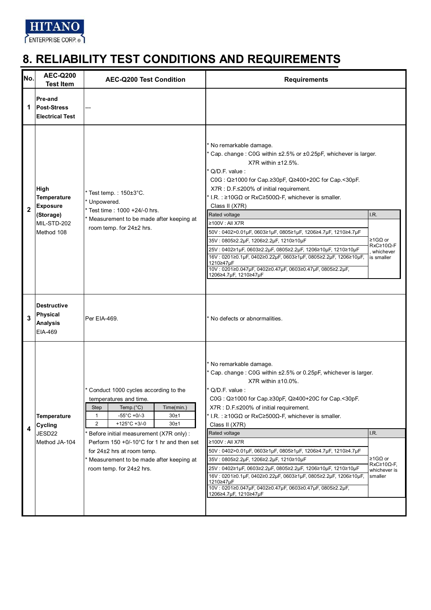

| No.          | <b>AEC-Q200</b><br><b>Test Item</b>                          | <b>AEC-Q200 Test Condition</b>                                                                                                                                                                                                                                                                                                                                                       | <b>Requirements</b>                                                                                                                                                                                                                                                                                                                                                                                                                                                                                                                                                                                                                                                                                                 |                                                                |
|--------------|--------------------------------------------------------------|--------------------------------------------------------------------------------------------------------------------------------------------------------------------------------------------------------------------------------------------------------------------------------------------------------------------------------------------------------------------------------------|---------------------------------------------------------------------------------------------------------------------------------------------------------------------------------------------------------------------------------------------------------------------------------------------------------------------------------------------------------------------------------------------------------------------------------------------------------------------------------------------------------------------------------------------------------------------------------------------------------------------------------------------------------------------------------------------------------------------|----------------------------------------------------------------|
| 1            | Pre-and<br><b>Post-Stress</b><br><b>Electrical Test</b>      |                                                                                                                                                                                                                                                                                                                                                                                      |                                                                                                                                                                                                                                                                                                                                                                                                                                                                                                                                                                                                                                                                                                                     |                                                                |
| $\mathbf{2}$ | <b>High</b><br>Temperature<br><b>Exposure</b><br>(Storage)   | Test temp.: 150±3°C.<br>* Unpowered.<br>Test time: 1000 +24/-0 hrs.                                                                                                                                                                                                                                                                                                                  | * No remarkable damage.<br>* Cap. change: C0G within ±2.5% or ±0.25pF, whichever is larger.<br>X7R within $±12.5\%$ .<br>Q/D.F. value:<br>C0G : Q≥1000 for Cap.≥30pF, Q≥400+20C for Cap.<30pF.<br>X7R : D.F.≤200% of initial requirement.<br>* I.R.: $\geq$ 10GΩ or RxC $\geq$ 500Ω-F, whichever is smaller.<br>Class II (X7R)<br>Rated voltage                                                                                                                                                                                                                                                                                                                                                                     | I.R.                                                           |
|              | MIL-STD-202<br>Method 108                                    | Measurement to be made after keeping at<br>room temp. for 24±2 hrs.                                                                                                                                                                                                                                                                                                                  | ≥100V : All X7R<br>50V: 0402>0.01μF, 0603≥1μF, 0805≥1μF, 1206≥4.7μF, 1210≥4.7μF<br>35V: 0805≥2.2µF, 1206≥2.2µF, 1210≥10µF<br>25V: 0402≥1µF, 0603≥2.2µF, 0805≥2.2µF, 1206≥10µF, 1210≥10µF<br>16V : 0201≥0.1μF, 0402≥0.22μF, 0603≥1μF, 0805≥2.2μF, 1206≥10μF,<br>1210≥47µF<br>10V: 0201≥0.047μF, 0402≥0.47μF, 0603≥0.47μF, 0805≥2.2μF,<br>1206≥4.7µF, 1210≥47µF                                                                                                                                                                                                                                                                                                                                                       | ≥1GΩ or<br>$RxC \geq 10 \Omega - F$<br>whichever<br>is smaller |
| 3            | <b>Destructive</b><br>Physical<br><b>Analysis</b><br>EIA-469 | Per EIA-469.                                                                                                                                                                                                                                                                                                                                                                         | * No defects or abnormalities.                                                                                                                                                                                                                                                                                                                                                                                                                                                                                                                                                                                                                                                                                      |                                                                |
| 4            | <b>Temperature</b><br>Cycling<br>JESD22<br>Method JA-104     | * Conduct 1000 cycles according to the<br>temperatures and time.<br>Temp. $(^{\circ}C)$<br><b>Step</b><br>Time(min.)<br>$-55^{\circ}$ C +0/-3<br>30±1<br>1<br>2<br>+125°C +3/-0<br>30±1<br>Before initial measurement (X7R only):<br>Perform 150 +0/-10°C for 1 hr and then set<br>for 24±2 hrs at room temp.<br>Measurement to be made after keeping at<br>room temp. for 24±2 hrs. | * No remarkable damage.<br>* Cap. change: C0G within ±2.5% or 0.25pF, whichever is larger.<br>$X7R$ within $±10.0\%$ .<br>* Q/D.F. value :<br>C0G : Q≥1000 for Cap.≥30pF, Q≥400+20C for Cap.<30pF.<br>X7R : D.F.≤200% of initial requirement.<br>* I.R.: $\geq$ 10GΩ or RxC $\geq$ 500Ω-F, whichever is smaller.<br>Class II (X7R)<br>Rated voltage<br>≥100V : All X7R<br>50V: 0402>0.01μF, 0603≥1μF, 0805≥1μF, 1206≥4.7μF, 1210≥4.7μF<br>35V: 0805≥2.2µF, 1206≥2.2µF, 1210≥10µF<br>25V: 0402≥1µF, 0603≥2.2µF, 0805≥2.2µF, 1206≥10µF, 1210≥10µF<br>16V: 0201≥0.1µF, 0402≥0.22µF, 0603≥1µF, 0805≥2.2µF, 1206≥10µF,<br>1210≥47µF<br>10V: 0201≥0.047μF, 0402≥0.47μF, 0603≥0.47μF, 0805≥2.2μF,<br>1206≥4.7µF, 1210≥47µF | I.R.<br>≥1GΩ or<br>$RxC≥10Ω$ -F,<br>whichever is<br>smaller    |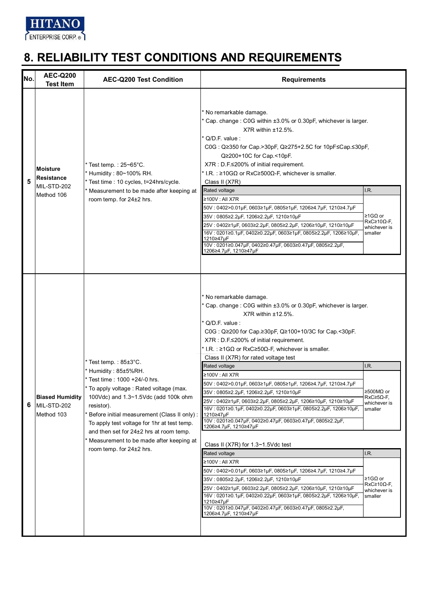

| No. | <b>AEC-Q200</b><br><b>Test Item</b>                        | <b>AEC-Q200 Test Condition</b>                                                                                                                                                                                                                                                                                                                                                            | <b>Requirements</b>                                                                                                                                                                                                                                                                                                                                                                                                                                                                                                                                                                                                                                                                                                                                                                                                                                                                                                                                                                                                                                                                                                                                                         |                                                                                                                                                    |
|-----|------------------------------------------------------------|-------------------------------------------------------------------------------------------------------------------------------------------------------------------------------------------------------------------------------------------------------------------------------------------------------------------------------------------------------------------------------------------|-----------------------------------------------------------------------------------------------------------------------------------------------------------------------------------------------------------------------------------------------------------------------------------------------------------------------------------------------------------------------------------------------------------------------------------------------------------------------------------------------------------------------------------------------------------------------------------------------------------------------------------------------------------------------------------------------------------------------------------------------------------------------------------------------------------------------------------------------------------------------------------------------------------------------------------------------------------------------------------------------------------------------------------------------------------------------------------------------------------------------------------------------------------------------------|----------------------------------------------------------------------------------------------------------------------------------------------------|
| 5   | <b>Moisture</b><br>Resistance<br>MIL-STD-202<br>Method 106 | Test temp.: $25 - 65^{\circ}$ C.<br>Humidity: 80~100% RH.<br>Test time : 10 cycles, t=24hrs/cycle.<br>Measurement to be made after keeping at<br>room temp. for 24±2 hrs.                                                                                                                                                                                                                 | * No remarkable damage.<br>* Cap. change: C0G within ±3.0% or 0.30pF, whichever is larger.<br>$X7R$ within $±12.5\%$ .<br>* Q/D.F. value :<br>C0G: Q≥350 for Cap.>30pF, Q≥275+2.5C for 10pF≤Cap.≤30pF,<br>Q≥200+10C for Cap.<10pF.<br>X7R : D.F.≤200% of initial requirement.<br>* I.R.: $\geq$ 10GΩ or RxC $\geq$ 500Ω-F, whichever is smaller.<br>Class II (X7R)<br>Rated voltage<br>≥100V : All X7R<br>50V:0402>0.01µF,0603≥1µF,0805≥1µF,1206≥4.7µF,1210≥4.7µF<br>35V: 0805≥2.2µF, 1206≥2.2µF, 1210≥10µF<br>25V : 0402≥1µF, 0603≥2.2µF, 0805≥2.2µF, 1206≥10µF, 1210≥10µF<br>16V: 0201≥0.1µF, 0402≥0.22µF, 0603≥1µF, 0805≥2.2µF, 1206≥10µF,<br>1210≥47µF<br>10V: 0201≥0.047μF, 0402≥0.47μF, 0603≥0.47μF, 0805≥2.2μF,<br>1206≥4.7µF, 1210≥47µF                                                                                                                                                                                                                                                                                                                                                                                                                             | I.R.<br>≥1GΩ or<br>$RxC \geq 10 \Omega - F$<br>whichever is<br>smaller                                                                             |
| 6   | <b>Biased Humidity</b><br>MIL-STD-202<br>Method 103        | Test temp.: 85±3°C.<br>Humidity: 85±5%RH.<br>Test time: 1000 +24/-0 hrs.<br>To apply voltage : Rated voltage (max.<br>100Vdc) and 1.3~1.5Vdc (add 100k ohm<br>resistor).<br>Before initial measurement (Class II only) :<br>To apply test voltage for 1hr at test temp.<br>and then set for 24±2 hrs at room temp.<br>Measurement to be made after keeping at<br>room temp. for 24±2 hrs. | * No remarkable damage.<br>* Cap. change: C0G within ±3.0% or 0.30pF, whichever is larger.<br>$X7R$ within $±12.5\%$ .<br>Q/D.F. value:<br>C0G : Q≥200 for Cap ≥30pF, Q≥100+10/3C for Cap <30pF.<br>X7R : D.F.≤200% of initial requirement.<br>* I.R. : $\geq 1$ G $\Omega$ or RxC $\geq 50\Omega$ -F, whichever is smaller.<br>Class II (X7R) for rated voltage test<br>Rated voltage<br>≥100V : All X7R<br>50V: 0402>0.01µF, 0603≥1µF, 0805≥1µF, 1206≥4.7µF, 1210≥4.7µF<br>35V : 0805≥2.2µF, 1206≥2.2µF, 1210≥10µF<br>25V : 0402≥1µF, 0603≥2.2µF, 0805≥2.2µF, 1206≥10µF, 1210≥10µF<br>16V: 0201≥0.1µF, 0402≥0.22µF, 0603≥1µF, 0805≥2.2µF, 1206≥10µF,<br>1210≥47µF<br>10V: 0201≥0.047µF, 0402≥0.47µF, 0603≥0.47µF, 0805≥2.2µF,<br>1206≥4.7µF, 1210≥47µF<br>Class II (X7R) for 1.3~1.5Vdc test<br>Rated voltage<br>≥100V : All X7R<br>50V:0402>0.01µF,0603≥1µF,0805≥1µF,1206≥4.7µF,1210≥4.7µF<br>35V: 0805≥2.2µF, 1206≥2.2µF, 1210≥10µF<br>25V : 0402≥1μF, 0603≥2.2μF, 0805≥2.2μF, 1206≥10μF, 1210≥10μF<br>16V: 0201≥0.1μF, 0402≥0.22μF, 0603≥1μF, 0805≥2.2μF, 1206≥10μF,<br>1210≥47µF<br>10V: 0201≥0.047μF, 0402≥0.47μF, 0603≥0.47μF, 0805≥2.2μF,<br>1206≥4.7µF, 1210≥47µF | I.R.<br>≥500MΩ or<br>$RxC \geq 5\Omega$ -F.<br>whichever is<br>smaller<br>I.R.<br>≥1GΩ or<br>$RxC \geq 10 \Omega - F$ ,<br>whichever is<br>smaller |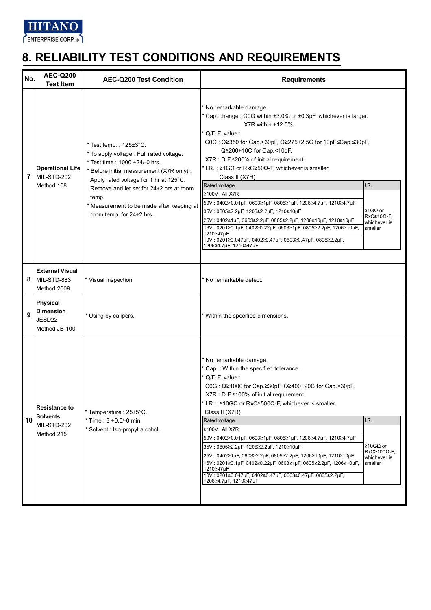

| No. | <b>AEC-Q200</b><br><b>Test Item</b>                                  | <b>AEC-Q200 Test Condition</b>                                                                                                                                                                                                                                                                                                          | <b>Requirements</b>                                                                                                                                                                                                                                                                                                                                                                                                                                                                                                                                                                                                                                                                                                                                     |                                                                          |
|-----|----------------------------------------------------------------------|-----------------------------------------------------------------------------------------------------------------------------------------------------------------------------------------------------------------------------------------------------------------------------------------------------------------------------------------|---------------------------------------------------------------------------------------------------------------------------------------------------------------------------------------------------------------------------------------------------------------------------------------------------------------------------------------------------------------------------------------------------------------------------------------------------------------------------------------------------------------------------------------------------------------------------------------------------------------------------------------------------------------------------------------------------------------------------------------------------------|--------------------------------------------------------------------------|
| 7   | <b>Operational Life</b><br>MIL-STD-202<br>Method 108                 | $*$ Test temp.: $125 \pm 3^{\circ}$ C.<br>* To apply voltage : Full rated voltage.<br>* Test time: 1000 +24/-0 hrs.<br>* Before initial measurement (X7R only) :<br>Apply rated voltage for 1 hr at 125°C.<br>Remove and let set for 24±2 hrs at room<br>temp.<br>* Measurement to be made after keeping at<br>room temp. for 24±2 hrs. | No remarkable damage.<br>Cap. change: C0G within ±3.0% or ±0.3pF, whichever is larger.<br>$X7R$ within $±12.5\%$ .<br>$Q/D.F.$ value:<br>C0G: Q≥350 for Cap.>30pF, Q≥275+2.5C for 10pF≤Cap.≤30pF,<br>Q≥200+10C for Cap <10pF.<br>X7R : D.F.≤200% of initial requirement.<br>* I.R.: $\geq 1G\Omega$ or RxC $\geq 50\Omega$ -F, whichever is smaller.<br>Class II (X7R)<br>Rated voltage<br>≥100V : All X7R<br>50V: 0402>0.01µF, 0603≥1µF, 0805≥1µF, 1206≥4.7µF, 1210≥4.7µF<br>35V: 0805≥2.2µF, 1206≥2.2µF, 1210≥10µF<br>25V: 0402≥1μF, 0603≥2.2μF, 0805≥2.2μF, 1206≥10μF, 1210≥10μF<br>16V: 0201≥0.1µF, 0402≥0.22µF, 0603≥1µF, 0805≥2.2µF, 1206≥10µF,<br>1210≥47µF<br>10V: 0201≥0.047µF, 0402≥0.47µF, 0603≥0.47µF, 0805≥2.2µF,<br>1206≥4.7µF, 1210≥47µF | I.R.<br>≥1GΩ or<br>$RxC≥10Ω$ -F,<br>whichever is<br>smaller              |
| 8   | <b>External Visual</b><br>MIL-STD-883<br>Method 2009                 | Visual inspection.                                                                                                                                                                                                                                                                                                                      | * No remarkable defect.                                                                                                                                                                                                                                                                                                                                                                                                                                                                                                                                                                                                                                                                                                                                 |                                                                          |
| 9   | <b>Physical</b><br><b>Dimension</b><br>JESD22<br>Method JB-100       | Using by calipers.                                                                                                                                                                                                                                                                                                                      | * Within the specified dimensions.                                                                                                                                                                                                                                                                                                                                                                                                                                                                                                                                                                                                                                                                                                                      |                                                                          |
| 10  | <b>Resistance to</b><br><b>Solvents</b><br>MIL-STD-202<br>Method 215 | Temperature: 25±5°C.<br>Time: $3 + 0.5/-0$ min.<br>Solvent : Iso-propyl alcohol.                                                                                                                                                                                                                                                        | * No remarkable damage.<br>Cap.: Within the specified tolerance.<br>$Q/D.F.$ value :<br>C0G: Q≥1000 for Cap.≥30pF, Q≥400+20C for Cap.<30pF.<br>$X7R : D.F \le 100\%$ of initial requirement.<br>* I.R.: $\geq$ 10GΩ or RxC $\geq$ 500Ω-F, whichever is smaller.<br>Class II (X7R)<br>Rated voltage<br>≥100V : All X7R<br>50V: 0402>0.01µF, 0603≥1µF, 0805≥1µF, 1206≥4.7µF, 1210≥4.7µF<br>35V: 0805≥2.2µF, 1206≥2.2µF, 1210≥10µF<br>25V : 0402≥1µF, 0603≥2.2µF, 0805≥2.2µF, 1206≥10µF, 1210≥10µF<br>16V: 0201≥0.1µF, 0402≥0.22µF, 0603≥1µF, 0805≥2.2µF, 1206≥10µF,<br>1210≥47µF<br>10V: 0201≥0.047μF, 0402≥0.47μF, 0603≥0.47μF, 0805≥2.2μF,<br>1206≥4.7µF, 1210≥47µF                                                                                     | I.R.<br>≥10GΩ or<br>$RxC \geq 100 \Omega - F$<br>whichever is<br>smaller |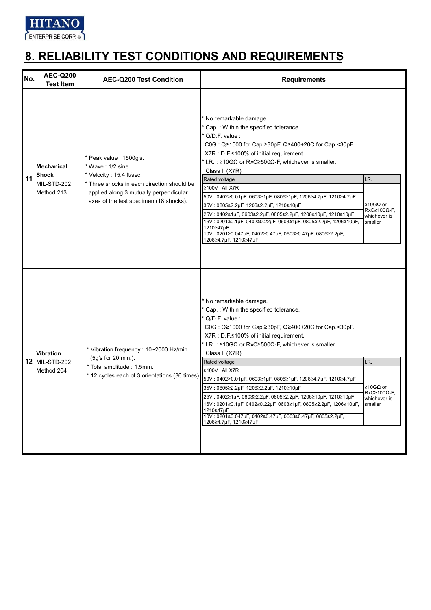

| No. | <b>AEC-Q200</b><br><b>Test Item</b>                            | <b>AEC-Q200 Test Condition</b>                                                                                                                                                                        | <b>Requirements</b>                                                                                                                                                                                                                                                                                                                                                                                                                                                                                                                                                                                                                                            |                                                                          |
|-----|----------------------------------------------------------------|-------------------------------------------------------------------------------------------------------------------------------------------------------------------------------------------------------|----------------------------------------------------------------------------------------------------------------------------------------------------------------------------------------------------------------------------------------------------------------------------------------------------------------------------------------------------------------------------------------------------------------------------------------------------------------------------------------------------------------------------------------------------------------------------------------------------------------------------------------------------------------|--------------------------------------------------------------------------|
| 11  | <b>Mechanical</b><br><b>Shock</b><br>MIL-STD-202<br>Method 213 | Peak value: 1500g's.<br>* Wave: 1/2 sine.<br>Velocity: 15.4 ft/sec.<br>* Three shocks in each direction should be<br>applied along 3 mutually perpendicular<br>axes of the test specimen (18 shocks). | * No remarkable damage.<br>* Cap.: Within the specified tolerance.<br>* Q/D.F. value :<br>C0G : Q≥1000 for Cap.≥30pF, Q≥400+20C for Cap.<30pF.<br>X7R : D.F.≤100% of initial requirement.<br>* I.R.: $\geq$ 10GΩ or RxC $\geq$ 500Ω-F, whichever is smaller.<br>Class II (X7R)<br>Rated voltage<br>≥100V: All X7R<br>50V: 0402>0.01µF, 0603≥1µF, 0805≥1µF, 1206≥4.7µF, 1210≥4.7µF<br>35V: 0805≥2.2µF, 1206≥2.2µF, 1210≥10µF<br>25V: 0402≥1µF, 0603≥2.2µF, 0805≥2.2µF, 1206≥10µF, 1210≥10µF<br>16V: 0201≥0.1µF, 0402≥0.22µF, 0603≥1µF, 0805≥2.2µF, 1206≥10µF,<br>1210≥47µF<br>10V: 0201≥0.047µF, 0402≥0.47µF, 0603≥0.47µF, 0805≥2.2µF,<br>1206≥4.7µF, 1210≥47µF | I.R.<br>≥10GΩ or<br>$RxC \geq 100 \Omega$ -F,<br>whichever is<br>smaller |
|     | <b>Vibration</b><br>12 MIL-STD-202<br>Method 204               | * Vibration frequency: 10~2000 Hz/min.<br>(5g's for 20 min.).<br>* Total amplitude : 1.5mm.<br>* 12 cycles each of 3 orientations (36 times)                                                          | * No remarkable damage.<br>* Cap.: Within the specified tolerance.<br>* Q/D.F. value :<br>C0G: Q≥1000 for Cap.≥30pF, Q≥400+20C for Cap.<30pF.<br>X7R : D.F.≤100% of initial requirement.<br>* I.R.: $\geq$ 10GΩ or RxC $\geq$ 500Ω-F, whichever is smaller.<br>Class II (X7R)<br>Rated voltage<br>≥100V: All X7R<br>50V: 0402>0.01µF, 0603≥1µF, 0805≥1µF, 1206≥4.7µF, 1210≥4.7µF<br>35V: 0805≥2.2µF, 1206≥2.2µF, 1210≥10µF<br>25V: 0402≥1µF, 0603≥2.2µF, 0805≥2.2µF, 1206≥10µF, 1210≥10µF<br>16V: 0201≥0.1µF, 0402≥0.22µF, 0603≥1µF, 0805≥2.2µF, 1206≥10µF,<br>1210≥47µF<br>10V: 0201≥0.047µF, 0402≥0.47µF, 0603≥0.47µF, 0805≥2.2µF,<br>1206≥4.7µF, 1210≥47µF  | I.R.<br>≥10GΩ or<br>$RxC \geq 100Q$ -F.<br>whichever is<br>smaller       |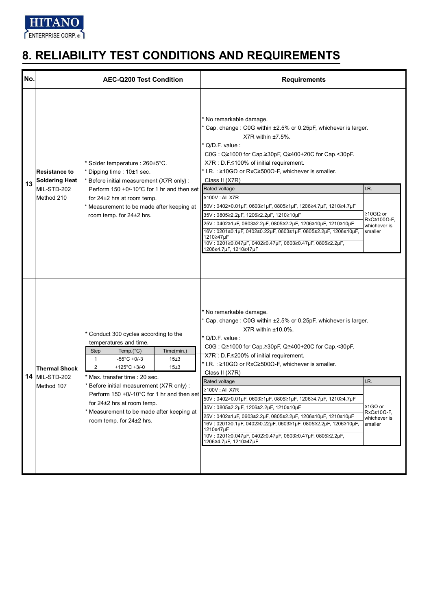

| No. |                                                                            | <b>AEC-Q200 Test Condition</b>                                                                                                                                                                                                                                                                                                                                                                                                               | <b>Requirements</b>                                                                                                                                                                                                                                                                                                                                                                                                                                                                                                                                                                                                                                                                                                          |                                                                            |
|-----|----------------------------------------------------------------------------|----------------------------------------------------------------------------------------------------------------------------------------------------------------------------------------------------------------------------------------------------------------------------------------------------------------------------------------------------------------------------------------------------------------------------------------------|------------------------------------------------------------------------------------------------------------------------------------------------------------------------------------------------------------------------------------------------------------------------------------------------------------------------------------------------------------------------------------------------------------------------------------------------------------------------------------------------------------------------------------------------------------------------------------------------------------------------------------------------------------------------------------------------------------------------------|----------------------------------------------------------------------------|
| 13  | <b>Resistance to</b><br><b>Soldering Heat</b><br>MIL-STD-202<br>Method 210 | Solder temperature : 260±5°C.<br>Dipping time: 10±1 sec.<br>Before initial measurement (X7R only) :<br>Perform 150 +0/-10°C for 1 hr and then set<br>for $24\pm2$ hrs at room temp.<br>Measurement to be made after keeping at<br>room temp. for 24±2 hrs.                                                                                                                                                                                   | * No remarkable damage.<br>* Cap. change: C0G within ±2.5% or 0.25pF, whichever is larger.<br>$X7R$ within $±7.5\%$ .<br>* Q/D.F. value:<br>C0G: Q≥1000 for Cap.≥30pF, Q≥400+20C for Cap.<30pF.<br>X7R : D.F.≤100% of initial requirement.<br>* I.R.: $\geq$ 10GΩ or RxC $\geq$ 500Ω-F, whichever is smaller.<br>Class II (X7R)<br>Rated voltage<br>≥100V : All X7R<br>50V: 0402>0.01μF, 0603≥1μF, 0805≥1μF, 1206≥4.7μF, 1210≥4.7μF<br>35V: 0805≥2.2µF, 1206≥2.2µF, 1210≥10µF<br>25V: 0402≥1μF, 0603≥2.2μF, 0805≥2.2μF, 1206≥10μF, 1210≥10μF<br>16V: 0201≥0.1μF, 0402≥0.22μF, 0603≥1μF, 0805≥2.2μF, 1206≥10μF,<br>1210≥47µF<br>10V: 0201≥0.047µF, 0402≥0.47µF, 0603≥0.47µF, 0805≥2.2µF,<br>1206≥4.7µF, 1210≥47µF             | I.R.<br>≥10GΩ or<br>$RxC \geq 100 \Omega - F$ ,<br>whichever is<br>smaller |
|     | <b>Thermal Shock</b><br><b>14 MIL-STD-202</b><br>Method 107                | Conduct 300 cycles according to the<br>temperatures and time.<br><b>Step</b><br>Temp. $(^{\circ}C)$<br>Time(min.)<br>$-55^{\circ}$ C +0/-3<br>15±3<br>1<br>$\overline{2}$<br>+125 $^{\circ}$ C +3/-0<br>15±3<br>Max. transfer time: 20 sec.<br>Before initial measurement (X7R only):<br>Perform 150 +0/-10°C for 1 hr and then set<br>for $24\pm2$ hrs at room temp.<br>Measurement to be made after keeping at<br>room temp. for 24±2 hrs. | * No remarkable damage.<br>* Cap. change: C0G within ±2.5% or 0.25pF, whichever is larger.<br>$X7R$ within $±10.0\%$ .<br><sup>*</sup> Q/D.F. value :<br>C0G: Q≥1000 for Cap.≥30pF, Q≥400+20C for Cap.<30pF.<br>X7R : D.F.≤200% of initial requirement.<br>* I.R.: $\geq$ 10GΩ or RxC $\geq$ 500Ω-F, whichever is smaller.<br>Class II (X7R)<br>Rated voltage<br>≥100V: All X7R<br>50V: 0402>0.01µF, 0603≥1µF, 0805≥1µF, 1206≥4.7µF, 1210≥4.7µF<br>35V: 0805≥2.2µF, 1206≥2.2µF, 1210≥10µF<br>25V: 0402≥1µF, 0603≥2.2µF, 0805≥2.2µF, 1206≥10µF, 1210≥10µF<br>16V: 0201≥0.1µF, 0402≥0.22µF, 0603≥1µF, 0805≥2.2µF, 1206≥10µF,<br>1210≥47µF<br>10V: 0201≥0.047μF, 0402≥0.47μF, 0603≥0.47μF, 0805≥2.2μF,<br>1206≥4.7µF, 1210≥47µF | I.R.<br>≥1GΩ or<br>$RxC \geq 10\Omega$ -F,<br>whichever is<br>smaller      |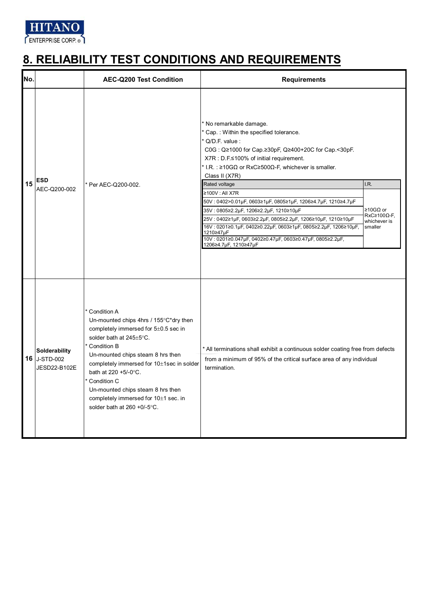

| No. |                                               | <b>AEC-Q200 Test Condition</b>                                                                                                                                                                                                                                                                                                                                                       | <b>Requirements</b>                                                                                                                                                                                                                                                                                                                                                                                                                                                                                                                                                                                                                                       |                                                                            |
|-----|-----------------------------------------------|--------------------------------------------------------------------------------------------------------------------------------------------------------------------------------------------------------------------------------------------------------------------------------------------------------------------------------------------------------------------------------------|-----------------------------------------------------------------------------------------------------------------------------------------------------------------------------------------------------------------------------------------------------------------------------------------------------------------------------------------------------------------------------------------------------------------------------------------------------------------------------------------------------------------------------------------------------------------------------------------------------------------------------------------------------------|----------------------------------------------------------------------------|
| 15  | <b>ESD</b><br>AEC-Q200-002                    | * Per AEC-Q200-002.                                                                                                                                                                                                                                                                                                                                                                  | * No remarkable damage.<br>Cap.: Within the specified tolerance.<br>Q/D.F. value:<br>C0G: Q≥1000 for Cap.≥30pF, Q≥400+20C for Cap.<30pF.<br>X7R : D.F.≤100% of initial requirement.<br>* I.R.: $\geq$ 10GΩ or RxC $\geq$ 500Ω-F, whichever is smaller.<br>Class II (X7R)<br>Rated voltage<br>≥100V : All X7R<br>50V: 0402>0.01µF, 0603≥1µF, 0805≥1µF, 1206≥4.7µF, 1210≥4.7µF<br>35V: 0805≥2.2µF, 1206≥2.2µF, 1210≥10µF<br>25V: 0402≥1µF, 0603≥2.2µF, 0805≥2.2µF, 1206≥10µF, 1210≥10µF<br>16V: 0201≥0.1µF, 0402≥0.22µF, 0603≥1µF, 0805≥2.2µF, 1206≥10µF,<br>1210≥47µF<br>10V: 0201≥0.047µF, 0402≥0.47µF, 0603≥0.47µF, 0805≥2.2µF,<br>1206≥4.7µF, 1210≥47µF | I.R.<br>≥10GΩ or<br>$RxC \geq 100 \Omega - F$ ,<br>whichever is<br>smaller |
|     | Solderability<br>16 J-STD-002<br>JESD22-B102E | Condition A<br>Un-mounted chips 4hrs / 155°C*dry then<br>completely immersed for $5\pm0.5$ sec in<br>solder bath at 245±5°C.<br>Condition B<br>Un-mounted chips steam 8 hrs then<br>completely immersed for 10±1sec in solder<br>bath at 220 +5/-0°C.<br>Condition C<br>Un-mounted chips steam 8 hrs then<br>completely immersed for 10±1 sec. in<br>solder bath at $260 + 0/-5$ °C. | * All terminations shall exhibit a continuous solder coating free from defects<br>from a minimum of 95% of the critical surface area of any individual<br>termination.                                                                                                                                                                                                                                                                                                                                                                                                                                                                                    |                                                                            |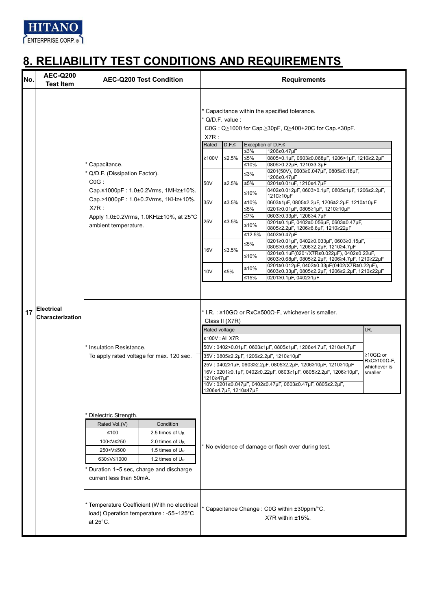

| No. | <b>AEC-Q200</b><br><b>Test Item</b>   |                                                                                                                                                                                     | <b>AEC-Q200 Test Condition</b>                                                                                      |                                                                                                                                               | <b>Requirements</b> |                                                                                              |                                                                                         |                                                                    |  |
|-----|---------------------------------------|-------------------------------------------------------------------------------------------------------------------------------------------------------------------------------------|---------------------------------------------------------------------------------------------------------------------|-----------------------------------------------------------------------------------------------------------------------------------------------|---------------------|----------------------------------------------------------------------------------------------|-----------------------------------------------------------------------------------------|--------------------------------------------------------------------|--|
|     |                                       |                                                                                                                                                                                     |                                                                                                                     | * Capacitance within the specified tolerance.<br>* Q/D.F. value :<br>$COG: Q \ge 1000$ for Cap. $\ge 30pF$ , $Q \ge 400+20C$ for Cap. < 30pF. |                     |                                                                                              |                                                                                         |                                                                    |  |
|     |                                       |                                                                                                                                                                                     |                                                                                                                     | X7R:<br>Rated                                                                                                                                 | D.F.≤               |                                                                                              | Exception of D.F.≤                                                                      |                                                                    |  |
|     |                                       |                                                                                                                                                                                     |                                                                                                                     |                                                                                                                                               |                     | ≤3%                                                                                          | 1206≥0.47µF                                                                             |                                                                    |  |
|     |                                       |                                                                                                                                                                                     |                                                                                                                     | ≥100V                                                                                                                                         | ≤2.5%               | ≤5%                                                                                          | 0805>0.1µF, 0603≥0.068µF, 1206>1µF, 1210≥2.2µF                                          |                                                                    |  |
|     |                                       | Capacitance.                                                                                                                                                                        |                                                                                                                     |                                                                                                                                               |                     | ≤10%                                                                                         | 0805>0.22µF, 1210≥3.3µF<br>0201(50V), 0603≥0.047µF, 0805≥0.18µF,                        |                                                                    |  |
|     |                                       | Q/D.F. (Dissipation Factor).                                                                                                                                                        |                                                                                                                     |                                                                                                                                               |                     | ≤3%                                                                                          | 1206≥0.47µF                                                                             |                                                                    |  |
|     |                                       | $COG$ :                                                                                                                                                                             | Cap.≤1000pF: 1.0±0.2Vrms, 1MHz±10%.                                                                                 | 50V                                                                                                                                           | ≤2.5%               | ≤5%<br>≤10%                                                                                  | 0201≥0.01uF, 1210≥4.7µF<br>0402≥0.012µF, 0603>0.1µF, 0805≥1µF, 1206≥2.2µF,<br>1210≥10µF |                                                                    |  |
|     |                                       |                                                                                                                                                                                     | Cap.>1000pF: 1.0±0.2Vrms, 1KHz±10%.                                                                                 | 35V                                                                                                                                           | ≤3.5%               | ≤10%                                                                                         | 0603≥1µF, 0805≥2.2µF, 1206≥2.2µF, 1210≥10µF                                             |                                                                    |  |
|     |                                       | X7R:                                                                                                                                                                                |                                                                                                                     |                                                                                                                                               |                     | ≤5%                                                                                          | 0201≥0.01µF, 0805≥1µF, 1210≥10µF<br>0603≥0.33µF, 1206≥4.7µF                             |                                                                    |  |
|     |                                       |                                                                                                                                                                                     | Apply 1.0±0.2Vrms, 1.0KHz±10%, at 25°C                                                                              | <b>25V</b>                                                                                                                                    | ≤3.5%               | ≤7%<br>≤10%                                                                                  | 0201≥0.1µF, 0402≥0.056µF, 0603≥0.47µF,                                                  |                                                                    |  |
|     |                                       | ambient temperature.                                                                                                                                                                |                                                                                                                     |                                                                                                                                               |                     |                                                                                              | 0805≥2.2µF, 1206≥6.8µF, 1210≥22µF                                                       |                                                                    |  |
|     |                                       |                                                                                                                                                                                     |                                                                                                                     |                                                                                                                                               |                     | ≤12.5%                                                                                       | 0402≥0.47µF<br>0201≥0.01µF, 0402≥0.033µF, 0603≥0.15µF,                                  |                                                                    |  |
|     |                                       |                                                                                                                                                                                     |                                                                                                                     | <b>16V</b>                                                                                                                                    | ≤3.5%               | ≤5%                                                                                          | 0805≥0.68µF, 1206≥2.2µF, 1210≥4.7µF                                                     |                                                                    |  |
|     |                                       |                                                                                                                                                                                     |                                                                                                                     |                                                                                                                                               | ≤10%                | 0201≥0.1uF(0201/X7R≥0.022µF), 0402≥0.22uF,<br>0603≥0.68µF, 0805≥2.2µF, 1206≥4.7µF, 1210≥22µF |                                                                                         |                                                                    |  |
|     |                                       |                                                                                                                                                                                     |                                                                                                                     |                                                                                                                                               | $≤10%$              | 0201≥0.012µF, 0402≥0.33µF(0402/X7R≥0.22µF),                                                  |                                                                                         |                                                                    |  |
|     |                                       |                                                                                                                                                                                     |                                                                                                                     | 10 <sub>V</sub>                                                                                                                               | ≤5%                 | ≤15%                                                                                         | 0603≥0.33µF, 0805≥2.2µF, 1206≥2.2µF, 1210≥22µF<br>0201≥0.1µF, 0402≥1µF                  |                                                                    |  |
|     |                                       |                                                                                                                                                                                     |                                                                                                                     |                                                                                                                                               |                     |                                                                                              |                                                                                         |                                                                    |  |
| 17  | <b>Electrical</b><br>Characterization | Insulation Resistance.<br>To apply rated voltage for max. 120 sec.                                                                                                                  |                                                                                                                     | * I.R. : $\geq$ 10G $\Omega$ or RxC $\geq$ 500 $\Omega$ -F, whichever is smaller.<br>Class II (X7R)                                           |                     |                                                                                              |                                                                                         |                                                                    |  |
|     |                                       |                                                                                                                                                                                     |                                                                                                                     | Rated voltage                                                                                                                                 |                     |                                                                                              |                                                                                         | I.R.                                                               |  |
|     |                                       |                                                                                                                                                                                     |                                                                                                                     | ≥100V : All X7R                                                                                                                               |                     |                                                                                              |                                                                                         | ≥10GΩ or<br>$RxC \geq 100 \Omega - F$ ,<br>whichever is<br>smaller |  |
|     |                                       |                                                                                                                                                                                     |                                                                                                                     | 50V: 0402>0.01µF, 0603≥1µF, 0805≥1µF, 1206≥4.7µF, 1210≥4.7µF                                                                                  |                     |                                                                                              |                                                                                         |                                                                    |  |
|     |                                       |                                                                                                                                                                                     |                                                                                                                     | 35V: 0805≥2.2µF, 1206≥2.2µF, 1210≥10µF<br>25V: 0402≥1µF, 0603≥2.2µF, 0805≥2.2µF, 1206≥10µF, 1210≥10µF                                         |                     |                                                                                              |                                                                                         |                                                                    |  |
|     |                                       |                                                                                                                                                                                     |                                                                                                                     | 16V: 0201≥0.1µF, 0402≥0.22µF, 0603≥1µF, 0805≥2.2µF, 1206≥10µF,                                                                                |                     |                                                                                              |                                                                                         |                                                                    |  |
|     |                                       |                                                                                                                                                                                     |                                                                                                                     | 1210≥47µF<br>10V: 0201≥0.047µF, 0402≥0.47µF, 0603≥0.47µF, 0805≥2.2µF,<br>1206≥4.7µF, 1210≥47µF                                                |                     |                                                                                              |                                                                                         |                                                                    |  |
|     |                                       | Dielectric Strength.<br>Rated Vol.(V)<br>≤100<br>100 <v≤250<br>250<v≤500<br>630≤V≤1000<br/>Duration 1~5 sec, charge and discharge<br/>current less than 50mA.</v≤500<br></v≤250<br> | Condition<br>2.5 times of U <sub>R</sub><br>2.0 times of U <sub>R</sub><br>1.5 times of $U_R$<br>1.2 times of $U_R$ | * No evidence of damage or flash over during test.                                                                                            |                     |                                                                                              |                                                                                         |                                                                    |  |
|     |                                       | Temperature Coefficient (With no electrical<br>load) Operation temperature : -55~125°C<br>at $25^{\circ}$ C.                                                                        |                                                                                                                     |                                                                                                                                               |                     |                                                                                              | * Capacitance Change : C0G within ±30ppm/°C.<br>X7R within ±15%.                        |                                                                    |  |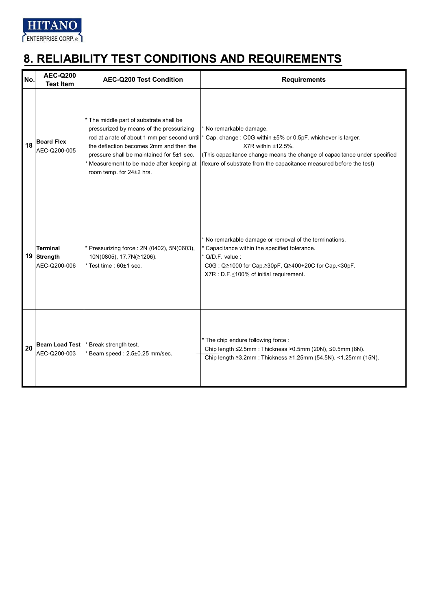

| No. | <b>AEC-Q200</b><br><b>Test Item</b>            | <b>AEC-Q200 Test Condition</b>                                                                                                                                                                                                                   | <b>Requirements</b>                                                                                                                                                                                                                                                                                                  |
|-----|------------------------------------------------|--------------------------------------------------------------------------------------------------------------------------------------------------------------------------------------------------------------------------------------------------|----------------------------------------------------------------------------------------------------------------------------------------------------------------------------------------------------------------------------------------------------------------------------------------------------------------------|
| 18  | <b>Board Flex</b><br>AEC-Q200-005              | The middle part of substrate shall be<br>pressurized by means of the pressurizing<br>the deflection becomes 2mm and then the<br>pressure shall be maintained for 5±1 sec.<br>Measurement to be made after keeping at<br>room temp. for 24±2 hrs. | * No remarkable damage.<br>rod at a rate of about 1 mm per second until * Cap. change : C0G within ±5% or 0.5pF, whichever is larger.<br>$X7R$ within $±12.5\%$ .<br>(This capacitance change means the change of capacitance under specified<br>flexure of substrate from the capacitance measured before the test) |
|     | <b>Terminal</b><br>19 Strength<br>AEC-Q200-006 | * Pressurizing force: 2N (0402), 5N(0603),<br>10N(0805), 17.7N(≥1206).<br>* Test time : 60±1 sec.                                                                                                                                                | * No remarkable damage or removal of the terminations.<br>Capacitance within the specified tolerance.<br>Q/D.F. value:<br>C0G: Q≥1000 for Cap.≥30pF, Q≥400+20C for Cap.<30pF.<br>X7R : D.F. ≤100% of initial requirement.                                                                                            |
| 20  | <b>Beam Load Test</b><br>AEC-Q200-003          | Break strength test.<br>Beam speed: 2.5±0.25 mm/sec.                                                                                                                                                                                             | * The chip endure following force:<br>Chip length ≤2.5mm : Thickness >0.5mm (20N), ≤0.5mm (8N).<br>Chip length ≥3.2mm : Thickness ≥1.25mm (54.5N), <1.25mm (15N).                                                                                                                                                    |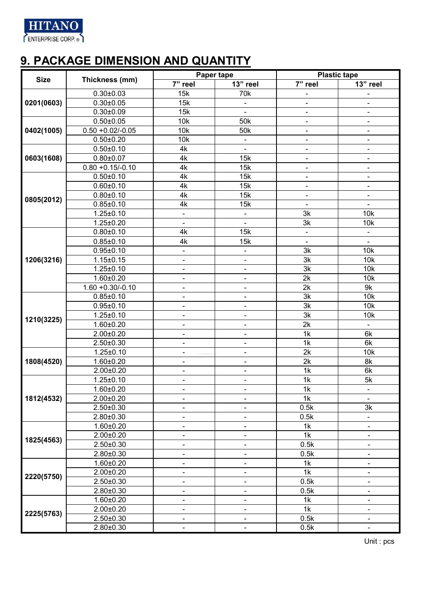

### **9. PACKAGE DIMENSION AND QUANTITY**

| <b>Size</b> | Thickness (mm)      |                              | Paper tape                   | <b>Plastic tape</b>          |                              |  |
|-------------|---------------------|------------------------------|------------------------------|------------------------------|------------------------------|--|
|             |                     | 7" reel                      | 13" reel                     | 7" reel                      | 13" reel                     |  |
|             | $0.30 \pm 0.03$     | 15k                          | 70 <sub>k</sub>              |                              |                              |  |
| 0201(0603)  | $0.30 \pm 0.05$     | 15k                          |                              | -                            | $\overline{\phantom{0}}$     |  |
|             | $0.30 \pm 0.09$     | 15k                          |                              | $\qquad \qquad \blacksquare$ | $\qquad \qquad \blacksquare$ |  |
|             | $0.50 \pm 0.05$     | 10k                          | 50 <sub>k</sub>              | $\overline{\phantom{a}}$     | $\overline{\phantom{0}}$     |  |
| 0402(1005)  | $0.50 + 0.02/-0.05$ | 10k                          | 50 <sub>k</sub>              | $\overline{\phantom{0}}$     | $\overline{\phantom{0}}$     |  |
|             | $0.50 \pm 0.20$     | 10k                          | $\overline{\phantom{0}}$     | -                            | -                            |  |
|             | $0.50 \pm 0.10$     | 4k                           | -                            | $\qquad \qquad \blacksquare$ | $\blacksquare$               |  |
| 0603(1608)  | $0.80 \pm 0.07$     | 4k                           | 15k                          | $\qquad \qquad \blacksquare$ | $\blacksquare$               |  |
|             | $0.80 + 0.15/-0.10$ | 4k                           | 15k                          | $\blacksquare$               | $\overline{\phantom{0}}$     |  |
|             | $0.50 + 0.10$       | 4k                           | 15k                          | $\qquad \qquad \blacksquare$ | $\overline{\phantom{0}}$     |  |
|             | $0.60 \pm 0.10$     | 4k                           | 15k                          | $\blacksquare$               | $\overline{\phantom{0}}$     |  |
|             | $0.80 + 0.10$       | 4k                           | 15k                          | $\blacksquare$               | $\overline{\phantom{0}}$     |  |
| 0805(2012)  | $0.85 \pm 0.10$     | 4k                           | 15k                          | $\blacksquare$               |                              |  |
|             | $1.25 \pm 0.10$     | $\qquad \qquad \blacksquare$ | -                            | 3k                           | 10k                          |  |
|             | $1.25 \pm 0.20$     | $\overline{\phantom{a}}$     | $\qquad \qquad \blacksquare$ | 3k                           | 10k                          |  |
|             | $0.80{\pm}0.10$     | 4k                           | 15k                          | $\blacksquare$               | $\blacksquare$               |  |
|             | $0.85 \pm 0.10$     | 4k                           | 15k                          | $\blacksquare$               | $\blacksquare$               |  |
|             | $0.95 \pm 0.10$     | $\qquad \qquad \blacksquare$ | $\frac{1}{2}$                | 3k                           | 10k                          |  |
| 1206(3216)  | $1.15 \pm 0.15$     | $\blacksquare$               | $\frac{1}{2}$                | 3k                           | 10k                          |  |
|             | $1.25 \pm 0.10$     | $\blacksquare$               | $\qquad \qquad \blacksquare$ | 3k                           | 10k                          |  |
|             | $1.60 + 0.20$       | $\frac{1}{2}$                | $\overline{\phantom{0}}$     | 2k                           | 10k                          |  |
|             | $1.60 + 0.30/-0.10$ | $\qquad \qquad \blacksquare$ | $\qquad \qquad \blacksquare$ | 2k                           | 9k                           |  |
|             | $0.85 \pm 0.10$     | $\qquad \qquad \blacksquare$ | -                            | 3k                           | 10k                          |  |
|             | $0.95 \pm 0.10$     | $\blacksquare$               | $\qquad \qquad \blacksquare$ | 3k                           | 10k                          |  |
|             | $1.25 \pm 0.10$     | $\overline{\phantom{a}}$     | $\blacksquare$               | 3k                           | 10k                          |  |
| 1210(3225)  | $1.60 \pm 0.20$     | $\blacksquare$               | $\qquad \qquad \blacksquare$ | 2k                           | $\Box$                       |  |
|             | $2.00 \pm 0.20$     | $\frac{1}{2}$                | L,                           | 1k                           | 6k                           |  |
|             | $2.50 \pm 0.30$     | $\overline{\phantom{a}}$     | $\qquad \qquad \blacksquare$ | 1k                           | 6k                           |  |
|             | $1.25 \pm 0.10$     | $\blacksquare$               |                              | 2k                           | 10k                          |  |
| 1808(4520)  | $1.60 \pm 0.20$     | $\overline{\phantom{a}}$     | $\blacksquare$               | 2k                           | 8k                           |  |
|             | $2.00 \pm 0.20$     | $\blacksquare$               | $\blacksquare$               | 1k                           | 6k                           |  |
|             | $1.25 \pm 0.10$     | $\blacksquare$               | $\blacksquare$               | 1k                           | 5k                           |  |
|             | $1.60 \pm 0.20$     | $\overline{\phantom{a}}$     | Ξ.                           | 1k                           | $\blacksquare$               |  |
| 1812(4532)  | $2.00 \pm 0.20$     | $\blacksquare$               | $\blacksquare$               | 1k                           | $\blacksquare$               |  |
|             | $2.50 \pm 0.30$     |                              |                              | 0.5k                         | 3k                           |  |
|             | $2.80 \pm 0.30$     | $\qquad \qquad \blacksquare$ | -                            | 0.5k                         |                              |  |
|             | $1.60 + 0.20$       | $\frac{1}{2}$                | $\overline{\phantom{0}}$     | 1k                           |                              |  |
|             | $2.00 \pm 0.20$     | $\overline{\phantom{0}}$     | $\qquad \qquad \blacksquare$ | 1k                           | $\qquad \qquad \blacksquare$ |  |
| 1825(4563)  | $2.50 \pm 0.30$     | $\blacksquare$               | $\qquad \qquad \blacksquare$ | 0.5k                         | $\qquad \qquad \blacksquare$ |  |
|             | $2.80 \pm 0.30$     | $\blacksquare$               | $\blacksquare$               | 0.5k                         | $\overline{\phantom{0}}$     |  |
|             | $1.60 + 0.20$       | $\overline{\phantom{a}}$     | Ξ.                           | 1k                           |                              |  |
|             | $2.00 \pm 0.20$     | $\blacksquare$               | $\qquad \qquad \blacksquare$ | 1k                           | $\overline{\phantom{0}}$     |  |
| 2220(5750)  | $2.50 \pm 0.30$     | $\blacksquare$               | $\frac{1}{2}$                | 0.5k                         | $\overline{\phantom{0}}$     |  |
|             | 2.80±0.30           | $\blacksquare$               | $\blacksquare$               | 0.5k                         |                              |  |
|             | $1.60 + 0.20$       | $\frac{1}{2}$                | $\overline{\phantom{0}}$     | 1k                           |                              |  |
|             | $2.00 \pm 0.20$     | $\qquad \qquad \blacksquare$ | $\blacksquare$               | 1k                           | -                            |  |
| 2225(5763)  | $2.50 \pm 0.30$     | $\qquad \qquad \blacksquare$ | $\blacksquare$               | 0.5k                         | $\overline{\phantom{0}}$     |  |
|             | 2.80±0.30           | $\blacksquare$               | $\overline{\phantom{a}}$     | 0.5k                         |                              |  |
|             |                     |                              |                              |                              |                              |  |

Unit : pcs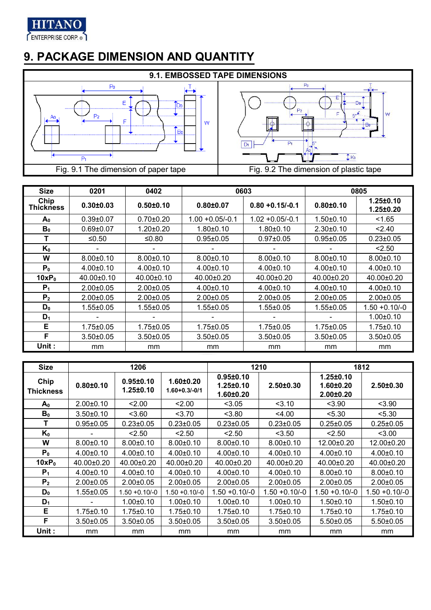

## **9. PACKAGE DIMENSION AND QUANTITY**



| <b>Size</b>       | 0201             | 0402             |                    | 0603               |                  | 0805                               |
|-------------------|------------------|------------------|--------------------|--------------------|------------------|------------------------------------|
| Chip<br>Thickness | $0.30 \pm 0.03$  | $0.50 + 0.10$    | $0.80 + 0.07$      | $0.80 + 0.15/-0.1$ | $0.80 + 0.10$    | $1.25 \pm 0.10$<br>$1.25 \pm 0.20$ |
| $A_0$             | $0.39 + 0.07$    | $0.70 + 0.20$    | $1.00 + 0.05/-0.1$ | $1.02 + 0.05/-0.1$ | $1.50 \pm 0.10$  | < 1.65                             |
| B <sub>0</sub>    | $0.69 + 0.07$    | $1.20 \pm 0.20$  | $1.80 \pm 0.10$    | $1.80 + 0.10$      | $2.30 \pm 0.10$  | < 2.40                             |
| т                 | ≤ $0.50$         | ≤ $0.80$         | $0.95 \pm 0.05$    | $0.97 + 0.05$      | $0.95 \pm 0.05$  | $0.23 \pm 0.05$                    |
| $K_0$             |                  |                  |                    |                    |                  | < 2.50                             |
| W                 | $8.00 \pm 0.10$  | $8.00 \pm 0.10$  | $8.00 \pm 0.10$    | $8.00 \pm 0.10$    | $8.00 \pm 0.10$  | $8.00 \pm 0.10$                    |
| P <sub>0</sub>    | $4.00 \pm 0.10$  | $4.00 \pm 0.10$  | $4.00 \pm 0.10$    | $4.00 \pm 0.10$    | $4.00 \pm 0.10$  | $4.00 \pm 0.10$                    |
| $10xP_0$          | $40.00 \pm 0.10$ | $40.00 \pm 0.10$ | $40.00 \pm 0.20$   | $40.00 \pm 0.20$   | $40.00 \pm 0.20$ | 40.00±0.20                         |
| $P_1$             | $2.00+0.05$      | $2.00+0.05$      | $4.00+0.10$        | $4.00 + 0.10$      | $4.00 \pm 0.10$  | $4.00+0.10$                        |
| P <sub>2</sub>    | $2.00+0.05$      | $2.00+0.05$      | $2.00 \pm 0.05$    | $2.00 \pm 0.05$    | $2.00+0.05$      | $2.00+0.05$                        |
| $D_0$             | $1.55 \pm 0.05$  | $1.55 \pm 0.05$  | $1.55 \pm 0.05$    | $1.55 \pm 0.05$    | $1.55 \pm 0.05$  | $1.50 + 0.10/-0$                   |
| D <sub>1</sub>    |                  |                  |                    |                    |                  | $1.00 \pm 0.10$                    |
| Е                 | $1.75 \pm 0.05$  | $1.75 \pm 0.05$  | $1.75 \pm 0.05$    | $1.75 \pm 0.05$    | $1.75 \pm 0.05$  | $1.75 \pm 0.10$                    |
| F                 | $3.50 \pm 0.05$  | $3.50+0.05$      | $3.50 \pm 0.05$    | $3.50 \pm 0.05$    | $3.50 \pm 0.05$  | $3.50 \pm 0.05$                    |
| Unit :            | mm               | mm               | mm                 | mm                 | mm               | mm                                 |

| <b>Size</b>       |                 | 1206                   |                                    | 1210                                                |                  | 1812                                          |                  |
|-------------------|-----------------|------------------------|------------------------------------|-----------------------------------------------------|------------------|-----------------------------------------------|------------------|
| Chip<br>Thickness | $0.80 \pm 0.10$ | 0.95±0.10<br>1.25±0.10 | $1.60 + 0.20$<br>$1.60 + 0.3/-0/1$ | $0.95 + 0.10$<br>$1.25 \pm 0.10$<br>$1.60 \pm 0.20$ | $2.50 \pm 0.30$  | 1.25±0.10<br>$1.60 + 0.20$<br>$2.00 \pm 0.20$ | $2.50 \pm 0.30$  |
| $A_0$             | $2.00 \pm 0.10$ | 2.00                   | 2.00                               | < 3.05                                              | 3.10             | < 3.90                                        | < 3.90           |
| B <sub>0</sub>    | $3.50+0.10$     | 3.60                   | 3.70                               | < 3.80                                              | $<$ 4.00         | < 5.30                                        | < 5.30           |
| T                 | $0.95 \pm 0.05$ | $0.23 \pm 0.05$        | $0.23 \pm 0.05$                    | $0.23 \pm 0.05$                                     | $0.23 \pm 0.05$  | $0.25 \pm 0.05$                               | $0.25 \pm 0.05$  |
| $K_0$             |                 | < 2.50                 | < 2.50                             | < 2.50                                              | < 3.50           | 2.50                                          | < 3.00           |
| W                 | $8.00 \pm 0.10$ | $8.00 \pm 0.10$        | $8.00 \pm 0.10$                    | $8.00 \pm 0.10$                                     | $8.00 \pm 0.10$  | 12.00±0.20                                    | 12.00±0.20       |
| P <sub>0</sub>    | $4.00 \pm 0.10$ | $4.00 \pm 0.10$        | $4.00 \pm 0.10$                    | $4.00 \pm 0.10$                                     | $4.00 \pm 0.10$  | $4.00 \pm 0.10$                               | $4.00 \pm 0.10$  |
| $10xP_0$          | 40.00±0.20      | 40.00±0.20             | 40.00±0.20                         | 40.00±0.20                                          | 40.00±0.20       | 40.00±0.20                                    | 40.00±0.20       |
| P <sub>1</sub>    | $4.00 \pm 0.10$ | $4.00 \pm 0.10$        | $4.00 \pm 0.10$                    | $4.00 \pm 0.10$                                     | $4.00 \pm 0.10$  | $8.00 \pm 0.10$                               | $8.00 \pm 0.10$  |
| P <sub>2</sub>    | $2.00 \pm 0.05$ | $2.00 \pm 0.05$        | $2.00 \pm 0.05$                    | $2.00 \pm 0.05$                                     | $2.00+0.05$      | $2.00+0.05$                                   | $2.00+0.05$      |
| $D_0$             | $1.55 \pm 0.05$ | $1.50 + 0.10/-0$       | $1.50 + 0.10/-0$                   | $1.50 + 0.10/-0$                                    | $1.50 + 0.10/-0$ | 1.50 +0.10/-0                                 | $1.50 + 0.10/-0$ |
| $D_1$             |                 | $1.00 \pm 0.10$        | $1.00 \pm 0.10$                    | $1.00 \pm 0.10$                                     | $1.00 \pm 0.10$  | $1.50 \pm 0.10$                               | $1.50 \pm 0.10$  |
| E                 | 1.75±0.10       | $1.75 \pm 0.10$        | $1.75 \pm 0.10$                    | $1.75 \pm 0.10$                                     | $1.75 \pm 0.10$  | $1.75 \pm 0.10$                               | $1.75 \pm 0.10$  |
| F                 | $3.50 \pm 0.05$ | $3.50+0.05$            | $3.50+0.05$                        | $3.50 \pm 0.05$                                     | $3.50+0.05$      | $5.50+0.05$                                   | $5.50 \pm 0.05$  |
| Unit:             | <sub>mm</sub>   | mm                     | mm                                 | mm                                                  | mm               | mm                                            | mm               |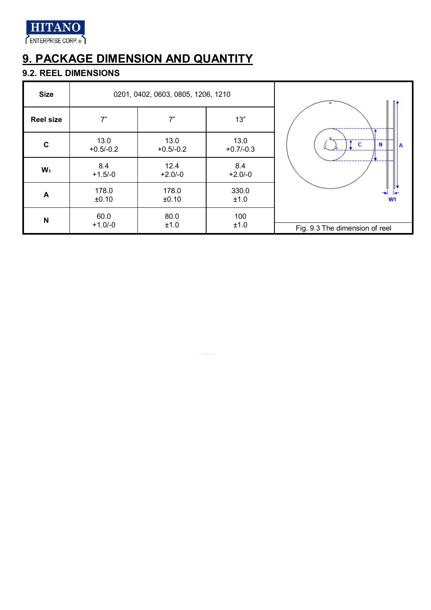

## **9. PACKAGE DIMENSION AND QUANTITY**

#### **9.2. REEL DIMENSIONS**

| <b>Size</b>      |                     | 0201, 0402, 0603, 0805, 1206, 1210 |                     |                                |
|------------------|---------------------|------------------------------------|---------------------|--------------------------------|
| <b>Reel size</b> | 7"                  | 7"                                 | 13"                 |                                |
| $\mathbf c$      | 13.0<br>$+0.5/-0.2$ | 13.0<br>$+0.5/-0.2$                | 13.0<br>$+0.7/-0.3$ | c<br>N<br>А                    |
| $W_1$            | 8.4<br>$+1.5/-0$    | 12.4<br>$+2.0/-0$                  | 8.4<br>$+2.0/-0$    |                                |
| A                | 178.0<br>±0.10      | 178.0<br>±0.10                     | 330.0<br>±1.0       | W <sub>1</sub>                 |
| N                | 60.0<br>$+1.0/-0$   | 80.0<br>±1.0                       | 100<br>±1.0         | Fig. 9.3 The dimension of reel |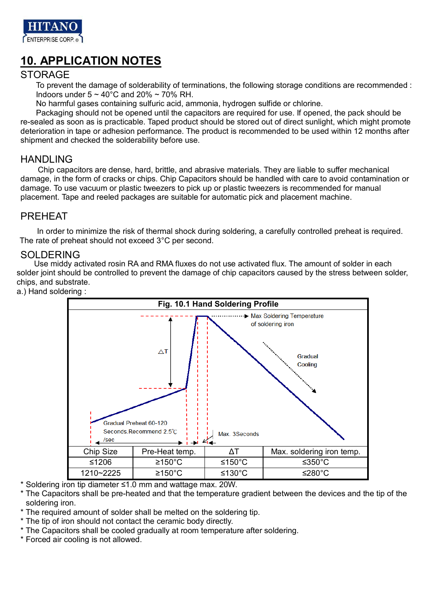

### **10. APPLICATION NOTES**

#### **STORAGE**

To prevent the damage of solderability of terminations, the following storage conditions are recommended : Indoors under  $5 \sim 40^{\circ}$ C and 20%  $\sim 70\%$  RH.

No harmful gases containing sulfuric acid, ammonia, hydrogen sulfide or chlorine.

Packaging should not be opened until the capacitors are required for use. If opened, the pack should be re-sealed as soon as is practicable. Taped product should be stored out of direct sunlight, which might promote deterioration in tape or adhesion performance. The product is recommended to be used within 12 months after shipment and checked the solderability before use.

#### HANDLING

Chip capacitors are dense, hard, brittle, and abrasive materials. They are liable to suffer mechanical damage, in the form of cracks or chips. Chip Capacitors should be handled with care to avoid contamination or damage. To use vacuum or plastic tweezers to pick up or plastic tweezers is recommended for manual placement. Tape and reeled packages are suitable for automatic pick and placement machine.

#### PREHEAT

In order to minimize the risk of thermal shock during soldering, a carefully controlled preheat is required. The rate of preheat should not exceed 3°C per second.

#### SOLDERING

Use middy activated rosin RA and RMA fluxes do not use activated flux. The amount of solder in each solder joint should be controlled to prevent the damage of chip capacitors caused by the stress between solder, chips, and substrate.

a.) Hand soldering :



\* Soldering iron tip diameter ≤1.0 mm and wattage max. 20W.

\* The Capacitors shall be pre-heated and that the temperature gradient between the devices and the tip of the soldering iron.

\* The required amount of solder shall be melted on the soldering tip.

- \* The tip of iron should not contact the ceramic body directly.
- \* The Capacitors shall be cooled gradually at room temperature after soldering.
- \* Forced air cooling is not allowed.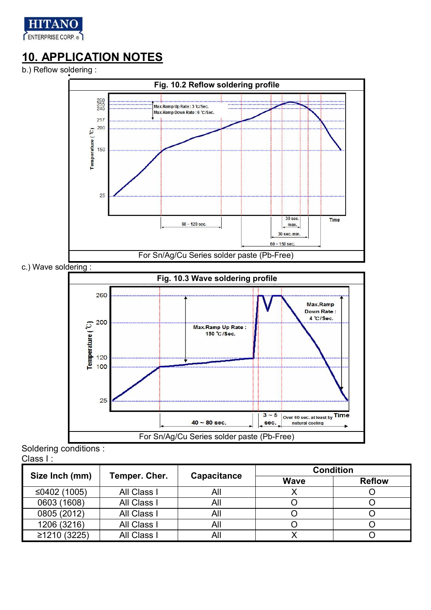

## **10. APPLICATION NOTES**

b.) Reflow soldering :



Soldering conditions : Class I :

| . ۱ دەەەب      |               |                    |                  |               |  |  |  |
|----------------|---------------|--------------------|------------------|---------------|--|--|--|
|                | Temper. Cher. | <b>Capacitance</b> | <b>Condition</b> |               |  |  |  |
| Size Inch (mm) |               |                    | <b>Wave</b>      | <b>Reflow</b> |  |  |  |
| ≤0402 $(1005)$ | All Class I   | All                |                  |               |  |  |  |
| 0603 (1608)    | All Class I   | All                |                  |               |  |  |  |
| 0805 (2012)    | All Class I   | All                |                  |               |  |  |  |
| 1206 (3216)    | All Class I   | All                |                  |               |  |  |  |
| ≥1210 (3225)   | All Class I   | All                |                  |               |  |  |  |

For Sn/Ag/Cu Series solder paste (Pb-Free)